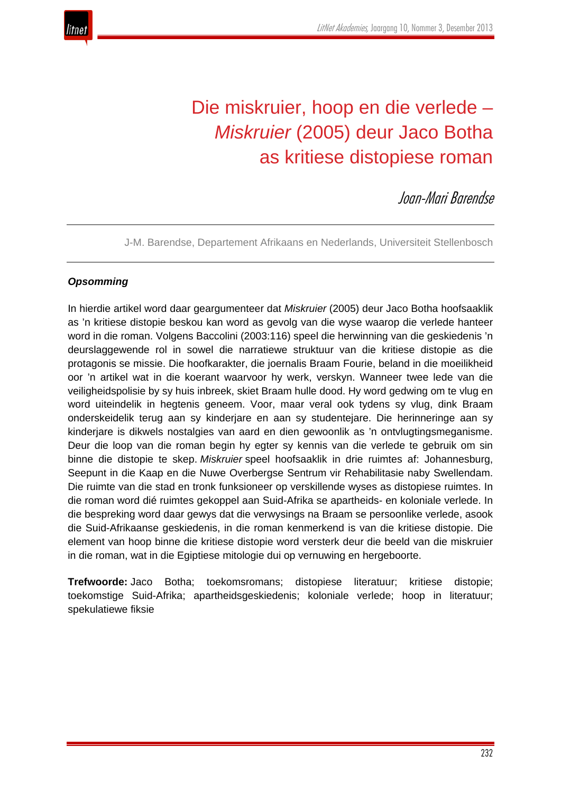

# Die miskruier, hoop en die verlede – *Miskruier* (2005) deur Jaco Botha as kritiese distopiese roman

Joan-Mari Barendse

J-M. Barendse, Departement Afrikaans en Nederlands, Universiteit Stellenbosch

# *Opsomming*

In hierdie artikel word daar geargumenteer dat *Miskruier* (2005) deur Jaco Botha hoofsaaklik as 'n kritiese distopie beskou kan word as gevolg van die wyse waarop die verlede hanteer word in die roman. Volgens Baccolini (2003:116) speel die herwinning van die geskiedenis 'n deurslaggewende rol in sowel die narratiewe struktuur van die kritiese distopie as die protagonis se missie. Die hoofkarakter, die joernalis Braam Fourie, beland in die moeilikheid oor 'n artikel wat in die koerant waarvoor hy werk, verskyn. Wanneer twee lede van die veiligheidspolisie by sy huis inbreek, skiet Braam hulle dood. Hy word gedwing om te vlug en word uiteindelik in hegtenis geneem. Voor, maar veral ook tydens sy vlug, dink Braam onderskeidelik terug aan sy kinderjare en aan sy studentejare. Die herinneringe aan sy kinderjare is dikwels nostalgies van aard en dien gewoonlik as 'n ontvlugtingsmeganisme. Deur die loop van die roman begin hy egter sy kennis van die verlede te gebruik om sin binne die distopie te skep. *Miskruier* speel hoofsaaklik in drie ruimtes af: Johannesburg, Seepunt in die Kaap en die Nuwe Overbergse Sentrum vir Rehabilitasie naby Swellendam. Die ruimte van die stad en tronk funksioneer op verskillende wyses as distopiese ruimtes. In die roman word dié ruimtes gekoppel aan Suid-Afrika se apartheids- en koloniale verlede. In die bespreking word daar gewys dat die verwysings na Braam se persoonlike verlede, asook die Suid-Afrikaanse geskiedenis, in die roman kenmerkend is van die kritiese distopie. Die element van hoop binne die kritiese distopie word versterk deur die beeld van die miskruier in die roman, wat in die Egiptiese mitologie dui op vernuwing en hergeboorte.

**Trefwoorde:** Jaco Botha; toekomsromans; distopiese literatuur; kritiese distopie; toekomstige Suid-Afrika; apartheidsgeskiedenis; koloniale verlede; hoop in literatuur; spekulatiewe fiksie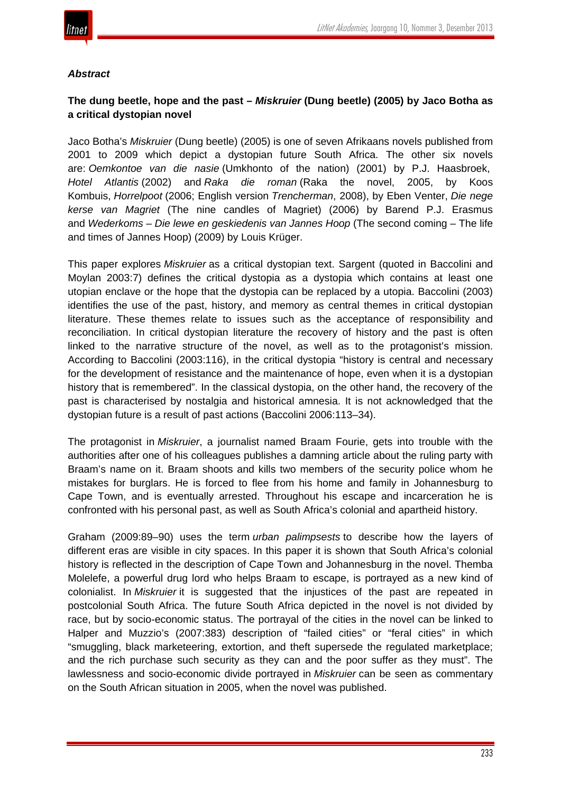

#### *Abstract*

# **The dung beetle, hope and the past –** *Miskruier* **(Dung beetle) (2005) by Jaco Botha as a critical dystopian novel**

Jaco Botha's *Miskruier* (Dung beetle) (2005) is one of seven Afrikaans novels published from 2001 to 2009 which depict a dystopian future South Africa. The other six novels are: *Oemkontoe van die nasie* (Umkhonto of the nation) (2001) by P.J. Haasbroek, *Hotel Atlantis* (2002) and *Raka die roman* (Raka the novel, 2005, by Koos Kombuis, *Horrelpoot* (2006; English version *Trencherman*, 2008), by Eben Venter, *Die nege kerse van Magriet* (The nine candles of Magriet) (2006) by Barend P.J. Erasmus and *Wederkoms* – *Die lewe en geskiedenis van Jannes Hoop* (The second coming – The life and times of Jannes Hoop) (2009) by Louis Krüger.

This paper explores *Miskruier* as a critical dystopian text. Sargent (quoted in Baccolini and Moylan 2003:7) defines the critical dystopia as a dystopia which contains at least one utopian enclave or the hope that the dystopia can be replaced by a utopia. Baccolini (2003) identifies the use of the past, history, and memory as central themes in critical dystopian literature. These themes relate to issues such as the acceptance of responsibility and reconciliation. In critical dystopian literature the recovery of history and the past is often linked to the narrative structure of the novel, as well as to the protagonist's mission. According to Baccolini (2003:116), in the critical dystopia "history is central and necessary for the development of resistance and the maintenance of hope, even when it is a dystopian history that is remembered". In the classical dystopia, on the other hand, the recovery of the past is characterised by nostalgia and historical amnesia. It is not acknowledged that the dystopian future is a result of past actions (Baccolini 2006:113–34).

The protagonist in *Miskruier*, a journalist named Braam Fourie, gets into trouble with the authorities after one of his colleagues publishes a damning article about the ruling party with Braam's name on it. Braam shoots and kills two members of the security police whom he mistakes for burglars. He is forced to flee from his home and family in Johannesburg to Cape Town, and is eventually arrested. Throughout his escape and incarceration he is confronted with his personal past, as well as South Africa's colonial and apartheid history.

Graham (2009:89–90) uses the term *urban palimpsests* to describe how the layers of different eras are visible in city spaces. In this paper it is shown that South Africa's colonial history is reflected in the description of Cape Town and Johannesburg in the novel. Themba Molelefe, a powerful drug lord who helps Braam to escape, is portrayed as a new kind of colonialist. In *Miskruier* it is suggested that the injustices of the past are repeated in postcolonial South Africa. The future South Africa depicted in the novel is not divided by race, but by socio-economic status. The portrayal of the cities in the novel can be linked to Halper and Muzzio's (2007:383) description of "failed cities" or "feral cities" in which "smuggling, black marketeering, extortion, and theft supersede the regulated marketplace; and the rich purchase such security as they can and the poor suffer as they must". The lawlessness and socio-economic divide portrayed in *Miskruier* can be seen as commentary on the South African situation in 2005, when the novel was published.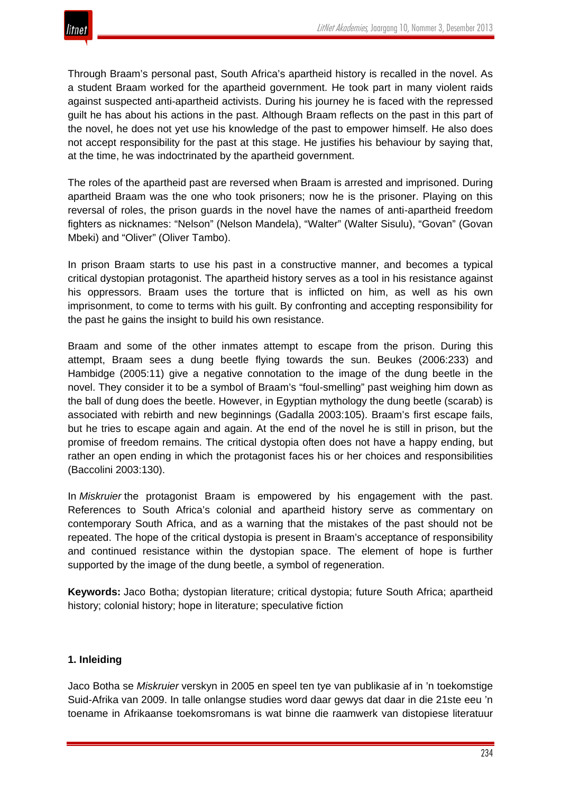

Through Braam's personal past, South Africa's apartheid history is recalled in the novel. As a student Braam worked for the apartheid government. He took part in many violent raids against suspected anti-apartheid activists. During his journey he is faced with the repressed guilt he has about his actions in the past. Although Braam reflects on the past in this part of the novel, he does not yet use his knowledge of the past to empower himself. He also does not accept responsibility for the past at this stage. He justifies his behaviour by saying that, at the time, he was indoctrinated by the apartheid government.

The roles of the apartheid past are reversed when Braam is arrested and imprisoned. During apartheid Braam was the one who took prisoners; now he is the prisoner. Playing on this reversal of roles, the prison guards in the novel have the names of anti-apartheid freedom fighters as nicknames: "Nelson" (Nelson Mandela), "Walter" (Walter Sisulu), "Govan" (Govan Mbeki) and "Oliver" (Oliver Tambo).

In prison Braam starts to use his past in a constructive manner, and becomes a typical critical dystopian protagonist. The apartheid history serves as a tool in his resistance against his oppressors. Braam uses the torture that is inflicted on him, as well as his own imprisonment, to come to terms with his guilt. By confronting and accepting responsibility for the past he gains the insight to build his own resistance.

Braam and some of the other inmates attempt to escape from the prison. During this attempt, Braam sees a dung beetle flying towards the sun. Beukes (2006:233) and Hambidge (2005:11) give a negative connotation to the image of the dung beetle in the novel. They consider it to be a symbol of Braam's "foul-smelling" past weighing him down as the ball of dung does the beetle. However, in Egyptian mythology the dung beetle (scarab) is associated with rebirth and new beginnings (Gadalla 2003:105). Braam's first escape fails, but he tries to escape again and again. At the end of the novel he is still in prison, but the promise of freedom remains. The critical dystopia often does not have a happy ending, but rather an open ending in which the protagonist faces his or her choices and responsibilities (Baccolini 2003:130).

In *Miskruier* the protagonist Braam is empowered by his engagement with the past. References to South Africa's colonial and apartheid history serve as commentary on contemporary South Africa, and as a warning that the mistakes of the past should not be repeated. The hope of the critical dystopia is present in Braam's acceptance of responsibility and continued resistance within the dystopian space. The element of hope is further supported by the image of the dung beetle, a symbol of regeneration.

**Keywords:** Jaco Botha; dystopian literature; critical dystopia; future South Africa; apartheid history; colonial history; hope in literature; speculative fiction

#### **1. Inleiding**

Jaco Botha se *Miskruier* verskyn in 2005 en speel ten tye van publikasie af in 'n toekomstige Suid-Afrika van 2009. In talle onlangse studies word daar gewys dat daar in die 21ste eeu 'n toename in Afrikaanse toekomsromans is wat binne die raamwerk van distopiese literatuur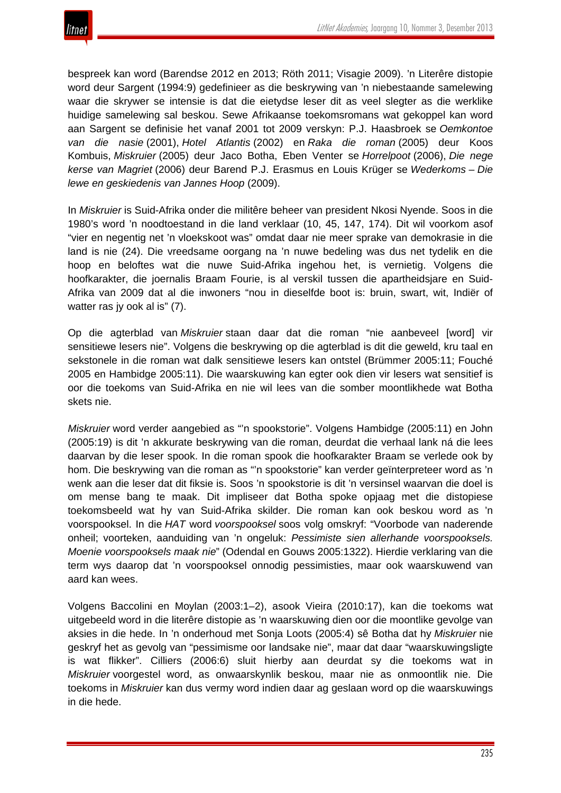bespreek kan word (Barendse 2012 en 2013; Röth 2011; Visagie 2009). 'n Literêre distopie word deur Sargent (1994:9) gedefinieer as die beskrywing van 'n niebestaande samelewing waar die skrywer se intensie is dat die eietydse leser dit as veel slegter as die werklike huidige samelewing sal beskou. Sewe Afrikaanse toekomsromans wat gekoppel kan word aan Sargent se definisie het vanaf 2001 tot 2009 verskyn: P.J. Haasbroek se *Oemkontoe van die nasie* (2001), *Hotel Atlantis* (2002) en *Raka die roman* (2005) deur Koos Kombuis, *Miskruier* (2005) deur Jaco Botha, Eben Venter se *Horrelpoot* (2006), *Die nege kerse van Magriet* (2006) deur Barend P.J. Erasmus en Louis Krüger se *Wederkoms* – *Die lewe en geskiedenis van Jannes Hoop* (2009).

In *Miskruier* is Suid-Afrika onder die militêre beheer van president Nkosi Nyende. Soos in die 1980's word 'n noodtoestand in die land verklaar (10, 45, 147, 174). Dit wil voorkom asof "vier en negentig net 'n vloekskoot was" omdat daar nie meer sprake van demokrasie in die land is nie (24). Die vreedsame oorgang na 'n nuwe bedeling was dus net tydelik en die hoop en beloftes wat die nuwe Suid-Afrika ingehou het, is vernietig. Volgens die hoofkarakter, die joernalis Braam Fourie, is al verskil tussen die apartheidsjare en Suid-Afrika van 2009 dat al die inwoners "nou in dieselfde boot is: bruin, swart, wit, Indiër of watter ras jy ook al is" (7).

Op die agterblad van *Miskruier* staan daar dat die roman "nie aanbeveel [word] vir sensitiewe lesers nie". Volgens die beskrywing op die agterblad is dit die geweld, kru taal en sekstonele in die roman wat dalk sensitiewe lesers kan ontstel (Brümmer 2005:11; Fouché 2005 en Hambidge 2005:11). Die waarskuwing kan egter ook dien vir lesers wat sensitief is oor die toekoms van Suid-Afrika en nie wil lees van die somber moontlikhede wat Botha skets nie.

*Miskruier* word verder aangebied as "'n spookstorie". Volgens Hambidge (2005:11) en John (2005:19) is dit 'n akkurate beskrywing van die roman, deurdat die verhaal lank ná die lees daarvan by die leser spook. In die roman spook die hoofkarakter Braam se verlede ook by hom. Die beskrywing van die roman as "'n spookstorie" kan verder geïnterpreteer word as 'n wenk aan die leser dat dit fiksie is. Soos 'n spookstorie is dit 'n versinsel waarvan die doel is om mense bang te maak. Dit impliseer dat Botha spoke opjaag met die distopiese toekomsbeeld wat hy van Suid-Afrika skilder. Die roman kan ook beskou word as 'n voorspooksel. In die *HAT* word *voorspooksel* soos volg omskryf: "Voorbode van naderende onheil; voorteken, aanduiding van 'n ongeluk: *Pessimiste sien allerhande voorspooksels. Moenie voorspooksels maak nie*" (Odendal en Gouws 2005:1322). Hierdie verklaring van die term wys daarop dat 'n voorspooksel onnodig pessimisties, maar ook waarskuwend van aard kan wees.

Volgens Baccolini en Moylan (2003:1–2), asook Vieira (2010:17), kan die toekoms wat uitgebeeld word in die literêre distopie as 'n waarskuwing dien oor die moontlike gevolge van aksies in die hede. In 'n onderhoud met Sonja Loots (2005:4) sê Botha dat hy *Miskruier* nie geskryf het as gevolg van "pessimisme oor landsake nie", maar dat daar "waarskuwingsligte is wat flikker". Cilliers (2006:6) sluit hierby aan deurdat sy die toekoms wat in *Miskruier* voorgestel word, as onwaarskynlik beskou, maar nie as onmoontlik nie. Die toekoms in *Miskruier* kan dus vermy word indien daar ag geslaan word op die waarskuwings in die hede.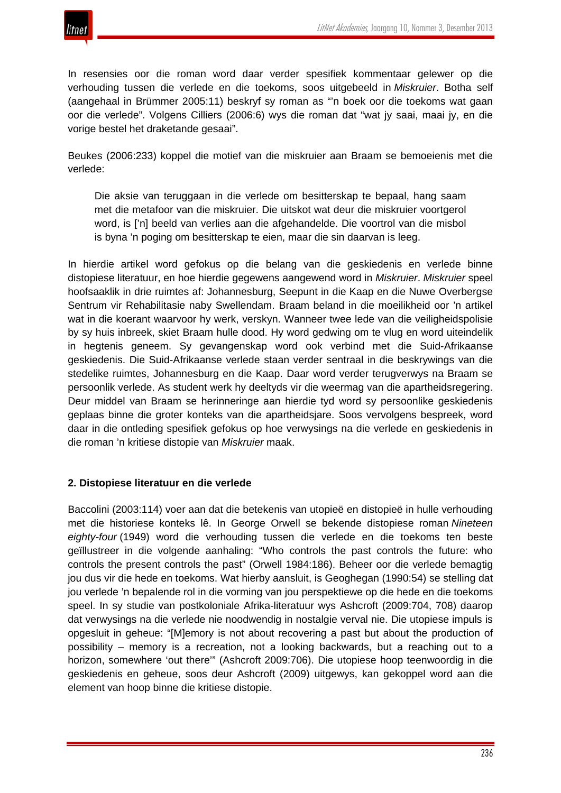

In resensies oor die roman word daar verder spesifiek kommentaar gelewer op die verhouding tussen die verlede en die toekoms, soos uitgebeeld in *Miskruier*. Botha self (aangehaal in Brümmer 2005:11) beskryf sy roman as "'n boek oor die toekoms wat gaan oor die verlede". Volgens Cilliers (2006:6) wys die roman dat "wat jy saai, maai jy, en die vorige bestel het draketande gesaai".

Beukes (2006:233) koppel die motief van die miskruier aan Braam se bemoeienis met die verlede:

Die aksie van teruggaan in die verlede om besitterskap te bepaal, hang saam met die metafoor van die miskruier. Die uitskot wat deur die miskruier voortgerol word, is ['n] beeld van verlies aan die afgehandelde. Die voortrol van die misbol is byna 'n poging om besitterskap te eien, maar die sin daarvan is leeg.

In hierdie artikel word gefokus op die belang van die geskiedenis en verlede binne distopiese literatuur, en hoe hierdie gegewens aangewend word in *Miskruier*. *Miskruier* speel hoofsaaklik in drie ruimtes af: Johannesburg, Seepunt in die Kaap en die Nuwe Overbergse Sentrum vir Rehabilitasie naby Swellendam. Braam beland in die moeilikheid oor 'n artikel wat in die koerant waarvoor hy werk, verskyn. Wanneer twee lede van die veiligheidspolisie by sy huis inbreek, skiet Braam hulle dood. Hy word gedwing om te vlug en word uiteindelik in hegtenis geneem. Sy gevangenskap word ook verbind met die Suid-Afrikaanse geskiedenis. Die Suid-Afrikaanse verlede staan verder sentraal in die beskrywings van die stedelike ruimtes, Johannesburg en die Kaap. Daar word verder terugverwys na Braam se persoonlik verlede. As student werk hy deeltyds vir die weermag van die apartheidsregering. Deur middel van Braam se herinneringe aan hierdie tyd word sy persoonlike geskiedenis geplaas binne die groter konteks van die apartheidsjare. Soos vervolgens bespreek, word daar in die ontleding spesifiek gefokus op hoe verwysings na die verlede en geskiedenis in die roman 'n kritiese distopie van *Miskruier* maak.

#### **2. Distopiese literatuur en die verlede**

Baccolini (2003:114) voer aan dat die betekenis van utopieë en distopieë in hulle verhouding met die historiese konteks lê. In George Orwell se bekende distopiese roman *Nineteen eighty-four* (1949) word die verhouding tussen die verlede en die toekoms ten beste geïllustreer in die volgende aanhaling: "Who controls the past controls the future: who controls the present controls the past" (Orwell 1984:186). Beheer oor die verlede bemagtig jou dus vir die hede en toekoms. Wat hierby aansluit, is Geoghegan (1990:54) se stelling dat jou verlede 'n bepalende rol in die vorming van jou perspektiewe op die hede en die toekoms speel. In sy studie van postkoloniale Afrika-literatuur wys Ashcroft (2009:704, 708) daarop dat verwysings na die verlede nie noodwendig in nostalgie verval nie. Die utopiese impuls is opgesluit in geheue: "[M]emory is not about recovering a past but about the production of possibility – memory is a recreation, not a looking backwards, but a reaching out to a horizon, somewhere 'out there'" (Ashcroft 2009:706). Die utopiese hoop teenwoordig in die geskiedenis en geheue, soos deur Ashcroft (2009) uitgewys, kan gekoppel word aan die element van hoop binne die kritiese distopie.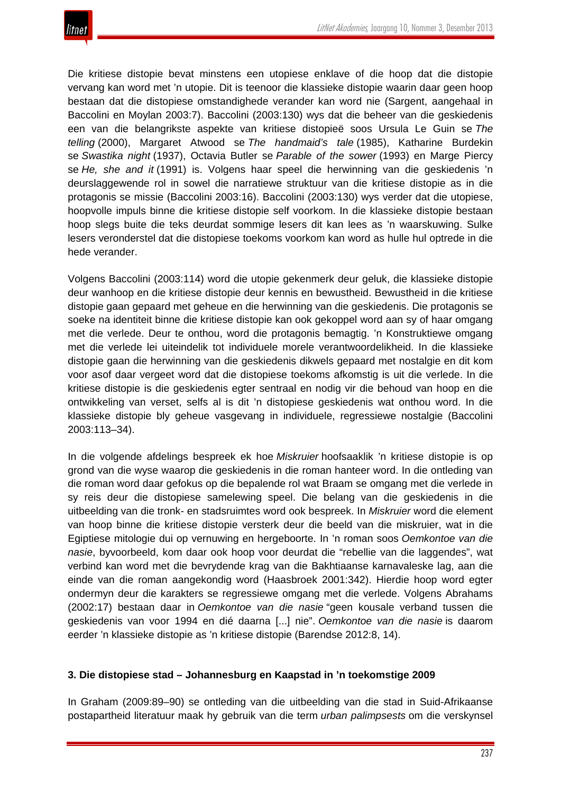

Die kritiese distopie bevat minstens een utopiese enklave of die hoop dat die distopie vervang kan word met 'n utopie. Dit is teenoor die klassieke distopie waarin daar geen hoop bestaan dat die distopiese omstandighede verander kan word nie (Sargent, aangehaal in Baccolini en Moylan 2003:7). Baccolini (2003:130) wys dat die beheer van die geskiedenis een van die belangrikste aspekte van kritiese distopieë soos Ursula Le Guin se *The telling* (2000), Margaret Atwood se *The handmaid's tale* (1985), Katharine Burdekin se *Swastika night* (1937), Octavia Butler se *Parable of the sower* (1993) en Marge Piercy se *He, she and it* (1991) is. Volgens haar speel die herwinning van die geskiedenis 'n deurslaggewende rol in sowel die narratiewe struktuur van die kritiese distopie as in die protagonis se missie (Baccolini 2003:16). Baccolini (2003:130) wys verder dat die utopiese, hoopvolle impuls binne die kritiese distopie self voorkom. In die klassieke distopie bestaan hoop slegs buite die teks deurdat sommige lesers dit kan lees as 'n waarskuwing. Sulke lesers veronderstel dat die distopiese toekoms voorkom kan word as hulle hul optrede in die hede verander.

Volgens Baccolini (2003:114) word die utopie gekenmerk deur geluk, die klassieke distopie deur wanhoop en die kritiese distopie deur kennis en bewustheid. Bewustheid in die kritiese distopie gaan gepaard met geheue en die herwinning van die geskiedenis. Die protagonis se soeke na identiteit binne die kritiese distopie kan ook gekoppel word aan sy of haar omgang met die verlede. Deur te onthou, word die protagonis bemagtig. 'n Konstruktiewe omgang met die verlede lei uiteindelik tot individuele morele verantwoordelikheid. In die klassieke distopie gaan die herwinning van die geskiedenis dikwels gepaard met nostalgie en dit kom voor asof daar vergeet word dat die distopiese toekoms afkomstig is uit die verlede. In die kritiese distopie is die geskiedenis egter sentraal en nodig vir die behoud van hoop en die ontwikkeling van verset, selfs al is dit 'n distopiese geskiedenis wat onthou word. In die klassieke distopie bly geheue vasgevang in individuele, regressiewe nostalgie (Baccolini 2003:113–34).

In die volgende afdelings bespreek ek hoe *Miskruier* hoofsaaklik 'n kritiese distopie is op grond van die wyse waarop die geskiedenis in die roman hanteer word. In die ontleding van die roman word daar gefokus op die bepalende rol wat Braam se omgang met die verlede in sy reis deur die distopiese samelewing speel. Die belang van die geskiedenis in die uitbeelding van die tronk- en stadsruimtes word ook bespreek. In *Miskruier* word die element van hoop binne die kritiese distopie versterk deur die beeld van die miskruier, wat in die Egiptiese mitologie dui op vernuwing en hergeboorte. In 'n roman soos *Oemkontoe van die nasie*, byvoorbeeld, kom daar ook hoop voor deurdat die "rebellie van die laggendes", wat verbind kan word met die bevrydende krag van die Bakhtiaanse karnavaleske lag, aan die einde van die roman aangekondig word (Haasbroek 2001:342). Hierdie hoop word egter ondermyn deur die karakters se regressiewe omgang met die verlede. Volgens Abrahams (2002:17) bestaan daar in *Oemkontoe van die nasie* "geen kousale verband tussen die geskiedenis van voor 1994 en dié daarna [...] nie". *Oemkontoe van die nasie* is daarom eerder 'n klassieke distopie as 'n kritiese distopie (Barendse 2012:8, 14).

#### **3. Die distopiese stad – Johannesburg en Kaapstad in 'n toekomstige 2009**

In Graham (2009:89–90) se ontleding van die uitbeelding van die stad in Suid-Afrikaanse postapartheid literatuur maak hy gebruik van die term *urban palimpsests* om die verskynsel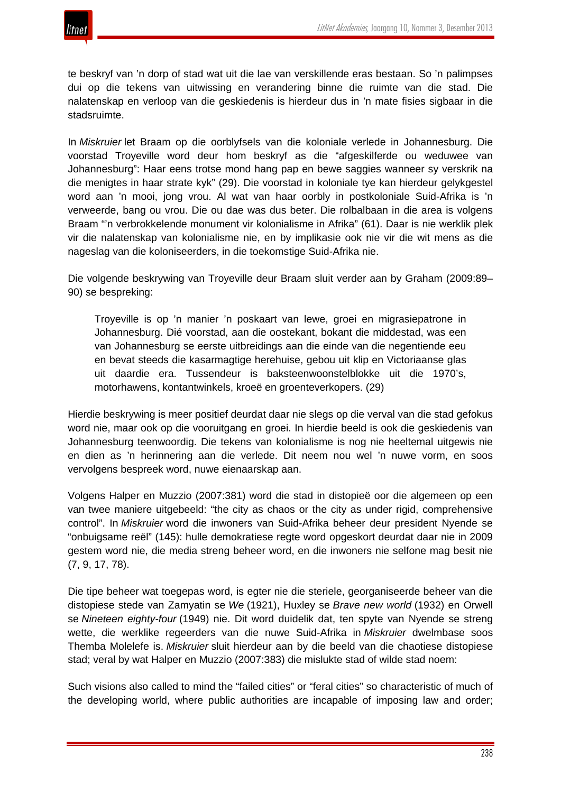

te beskryf van 'n dorp of stad wat uit die lae van verskillende eras bestaan. So 'n palimpses dui op die tekens van uitwissing en verandering binne die ruimte van die stad. Die nalatenskap en verloop van die geskiedenis is hierdeur dus in 'n mate fisies sigbaar in die stadsruimte.

In *Miskruier* let Braam op die oorblyfsels van die koloniale verlede in Johannesburg. Die voorstad Troyeville word deur hom beskryf as die "afgeskilferde ou weduwee van Johannesburg": Haar eens trotse mond hang pap en bewe saggies wanneer sy verskrik na die menigtes in haar strate kyk" (29). Die voorstad in koloniale tye kan hierdeur gelykgestel word aan 'n mooi, jong vrou. Al wat van haar oorbly in postkoloniale Suid-Afrika is 'n verweerde, bang ou vrou. Die ou dae was dus beter. Die rolbalbaan in die area is volgens Braam "'n verbrokkelende monument vir kolonialisme in Afrika" (61). Daar is nie werklik plek vir die nalatenskap van kolonialisme nie, en by implikasie ook nie vir die wit mens as die nageslag van die koloniseerders, in die toekomstige Suid-Afrika nie.

Die volgende beskrywing van Troyeville deur Braam sluit verder aan by Graham (2009:89– 90) se bespreking:

Troyeville is op 'n manier 'n poskaart van lewe, groei en migrasiepatrone in Johannesburg. Dié voorstad, aan die oostekant, bokant die middestad, was een van Johannesburg se eerste uitbreidings aan die einde van die negentiende eeu en bevat steeds die kasarmagtige herehuise, gebou uit klip en Victoriaanse glas uit daardie era. Tussendeur is baksteenwoonstelblokke uit die 1970's, motorhawens, kontantwinkels, kroeë en groenteverkopers. (29)

Hierdie beskrywing is meer positief deurdat daar nie slegs op die verval van die stad gefokus word nie, maar ook op die vooruitgang en groei. In hierdie beeld is ook die geskiedenis van Johannesburg teenwoordig. Die tekens van kolonialisme is nog nie heeltemal uitgewis nie en dien as 'n herinnering aan die verlede. Dit neem nou wel 'n nuwe vorm, en soos vervolgens bespreek word, nuwe eienaarskap aan.

Volgens Halper en Muzzio (2007:381) word die stad in distopieë oor die algemeen op een van twee maniere uitgebeeld: "the city as chaos or the city as under rigid, comprehensive control". In *Miskruier* word die inwoners van Suid-Afrika beheer deur president Nyende se "onbuigsame reël" (145): hulle demokratiese regte word opgeskort deurdat daar nie in 2009 gestem word nie, die media streng beheer word, en die inwoners nie selfone mag besit nie (7, 9, 17, 78).

Die tipe beheer wat toegepas word, is egter nie die steriele, georganiseerde beheer van die distopiese stede van Zamyatin se *We* (1921), Huxley se *Brave new world* (1932) en Orwell se *Nineteen eighty-four* (1949) nie. Dit word duidelik dat, ten spyte van Nyende se streng wette, die werklike regeerders van die nuwe Suid-Afrika in *Miskruier* dwelmbase soos Themba Molelefe is. *Miskruier* sluit hierdeur aan by die beeld van die chaotiese distopiese stad; veral by wat Halper en Muzzio (2007:383) die mislukte stad of wilde stad noem:

Such visions also called to mind the "failed cities" or "feral cities" so characteristic of much of the developing world, where public authorities are incapable of imposing law and order;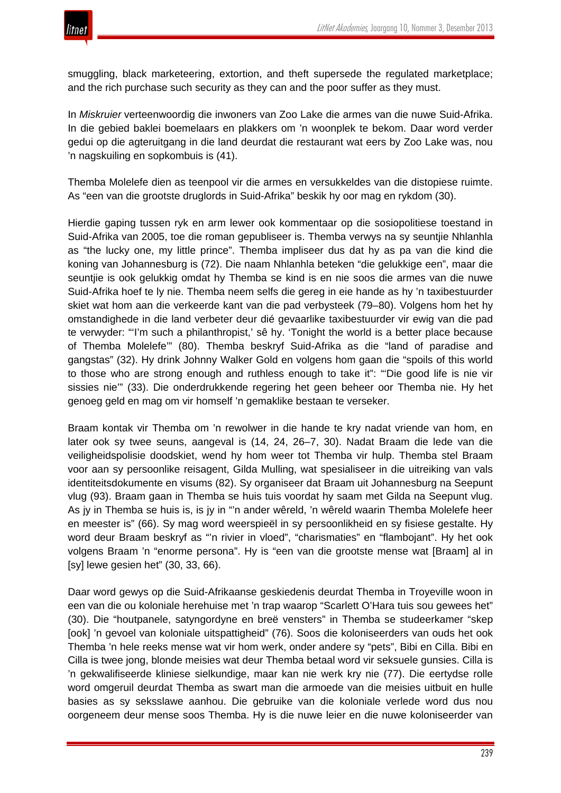

smuggling, black marketeering, extortion, and theft supersede the regulated marketplace; and the rich purchase such security as they can and the poor suffer as they must.

In *Miskruier* verteenwoordig die inwoners van Zoo Lake die armes van die nuwe Suid-Afrika. In die gebied baklei boemelaars en plakkers om 'n woonplek te bekom. Daar word verder gedui op die agteruitgang in die land deurdat die restaurant wat eers by Zoo Lake was, nou 'n nagskuiling en sopkombuis is (41).

Themba Molelefe dien as teenpool vir die armes en versukkeldes van die distopiese ruimte. As "een van die grootste druglords in Suid-Afrika" beskik hy oor mag en rykdom (30).

Hierdie gaping tussen ryk en arm lewer ook kommentaar op die sosiopolitiese toestand in Suid-Afrika van 2005, toe die roman gepubliseer is. Themba verwys na sy seuntjie Nhlanhla as "the lucky one, my little prince". Themba impliseer dus dat hy as pa van die kind die koning van Johannesburg is (72). Die naam Nhlanhla beteken "die gelukkige een", maar die seuntjie is ook gelukkig omdat hy Themba se kind is en nie soos die armes van die nuwe Suid-Afrika hoef te ly nie. Themba neem selfs die gereg in eie hande as hy 'n taxibestuurder skiet wat hom aan die verkeerde kant van die pad verbysteek (79–80). Volgens hom het hy omstandighede in die land verbeter deur dié gevaarlike taxibestuurder vir ewig van die pad te verwyder: "'I'm such a philanthropist,' sê hy. 'Tonight the world is a better place because of Themba Molelefe'" (80). Themba beskryf Suid-Afrika as die "land of paradise and gangstas" (32). Hy drink Johnny Walker Gold en volgens hom gaan die "spoils of this world to those who are strong enough and ruthless enough to take it": "'Die good life is nie vir sissies nie'" (33). Die onderdrukkende regering het geen beheer oor Themba nie. Hy het genoeg geld en mag om vir homself 'n gemaklike bestaan te verseker.

Braam kontak vir Themba om 'n rewolwer in die hande te kry nadat vriende van hom, en later ook sy twee seuns, aangeval is (14, 24, 26–7, 30). Nadat Braam die lede van die veiligheidspolisie doodskiet, wend hy hom weer tot Themba vir hulp. Themba stel Braam voor aan sy persoonlike reisagent, Gilda Mulling, wat spesialiseer in die uitreiking van vals identiteitsdokumente en visums (82). Sy organiseer dat Braam uit Johannesburg na Seepunt vlug (93). Braam gaan in Themba se huis tuis voordat hy saam met Gilda na Seepunt vlug. As jy in Themba se huis is, is jy in "'n ander wêreld, 'n wêreld waarin Themba Molelefe heer en meester is" (66). Sy mag word weerspieël in sy persoonlikheid en sy fisiese gestalte. Hy word deur Braam beskryf as "'n rivier in vloed", "charismaties" en "flambojant". Hy het ook volgens Braam 'n "enorme persona". Hy is "een van die grootste mense wat [Braam] al in [sy] lewe gesien het" (30, 33, 66).

Daar word gewys op die Suid-Afrikaanse geskiedenis deurdat Themba in Troyeville woon in een van die ou koloniale herehuise met 'n trap waarop "Scarlett O'Hara tuis sou gewees het" (30). Die "houtpanele, satyngordyne en breë vensters" in Themba se studeerkamer "skep [ook] 'n gevoel van koloniale uitspattigheid" (76). Soos die koloniseerders van ouds het ook Themba 'n hele reeks mense wat vir hom werk, onder andere sy "pets", Bibi en Cilla. Bibi en Cilla is twee jong, blonde meisies wat deur Themba betaal word vir seksuele gunsies. Cilla is 'n gekwalifiseerde kliniese sielkundige, maar kan nie werk kry nie (77). Die eertydse rolle word omgeruil deurdat Themba as swart man die armoede van die meisies uitbuit en hulle basies as sy seksslawe aanhou. Die gebruike van die koloniale verlede word dus nou oorgeneem deur mense soos Themba. Hy is die nuwe leier en die nuwe koloniseerder van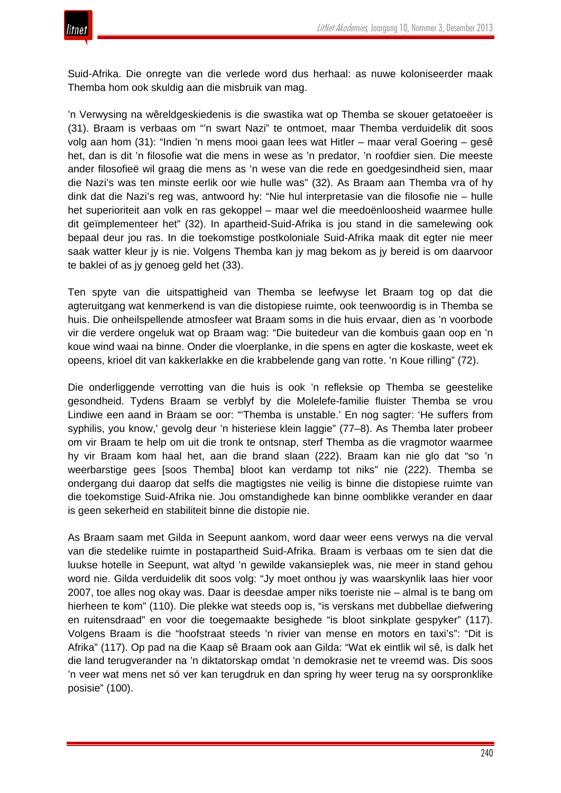Suid-Afrika. Die onregte van die verlede word dus herhaal: as nuwe koloniseerder maak Themba hom ook skuldig aan die misbruik van mag.

'n Verwysing na wêreldgeskiedenis is die swastika wat op Themba se skouer getatoeëer is (31). Braam is verbaas om "'n swart Nazi" te ontmoet, maar Themba verduidelik dit soos volg aan hom (31): "Indien 'n mens mooi gaan lees wat Hitler – maar veral Goering – gesê het, dan is dit 'n filosofie wat die mens in wese as 'n predator, 'n roofdier sien. Die meeste ander filosofieë wil graag die mens as 'n wese van die rede en goedgesindheid sien, maar die Nazi's was ten minste eerlik oor wie hulle was" (32). As Braam aan Themba vra of hy dink dat die Nazi's reg was, antwoord hy: "Nie hul interpretasie van die filosofie nie – hulle het superioriteit aan volk en ras gekoppel – maar wel die meedoënloosheid waarmee hulle dit geïmplementeer het" (32). In apartheid-Suid-Afrika is jou stand in die samelewing ook bepaal deur jou ras. In die toekomstige postkoloniale Suid-Afrika maak dit egter nie meer saak watter kleur jy is nie. Volgens Themba kan jy mag bekom as jy bereid is om daarvoor te baklei of as jy genoeg geld het (33).

Ten spyte van die uitspattigheid van Themba se leefwyse let Braam tog op dat die agteruitgang wat kenmerkend is van die distopiese ruimte, ook teenwoordig is in Themba se huis. Die onheilspellende atmosfeer wat Braam soms in die huis ervaar, dien as 'n voorbode vir die verdere ongeluk wat op Braam wag: "Die buitedeur van die kombuis gaan oop en 'n koue wind waai na binne. Onder die vloerplanke, in die spens en agter die koskaste, weet ek opeens, krioel dit van kakkerlakke en die krabbelende gang van rotte. 'n Koue rilling" (72).

Die onderliggende verrotting van die huis is ook 'n refleksie op Themba se geestelike gesondheid. Tydens Braam se verblyf by die Molelefe-familie fluister Themba se vrou Lindiwe een aand in Braam se oor: "'Themba is unstable.' En nog sagter: 'He suffers from syphilis, you know,' gevolg deur 'n histeriese klein laggie" (77–8). As Themba later probeer om vir Braam te help om uit die tronk te ontsnap, sterf Themba as die vragmotor waarmee hy vir Braam kom haal het, aan die brand slaan (222). Braam kan nie glo dat "so 'n weerbarstige gees [soos Themba] bloot kan verdamp tot niks" nie (222). Themba se ondergang dui daarop dat selfs die magtigstes nie veilig is binne die distopiese ruimte van die toekomstige Suid-Afrika nie. Jou omstandighede kan binne oomblikke verander en daar is geen sekerheid en stabiliteit binne die distopie nie.

As Braam saam met Gilda in Seepunt aankom, word daar weer eens verwys na die verval van die stedelike ruimte in postapartheid Suid-Afrika. Braam is verbaas om te sien dat die luukse hotelle in Seepunt, wat altyd 'n gewilde vakansieplek was, nie meer in stand gehou word nie. Gilda verduidelik dit soos volg: "Jy moet onthou jy was waarskynlik laas hier voor 2007, toe alles nog okay was. Daar is deesdae amper niks toeriste nie – almal is te bang om hierheen te kom" (110). Die plekke wat steeds oop is, "is verskans met dubbellae diefwering en ruitensdraad" en voor die toegemaakte besighede "is bloot sinkplate gespyker" (117). Volgens Braam is die "hoofstraat steeds 'n rivier van mense en motors en taxi's": "Dit is Afrika" (117). Op pad na die Kaap sê Braam ook aan Gilda: "Wat ek eintlik wil sê, is dalk het die land terugverander na 'n diktatorskap omdat 'n demokrasie net te vreemd was. Dis soos 'n veer wat mens net só ver kan terugdruk en dan spring hy weer terug na sy oorspronklike posisie" (100).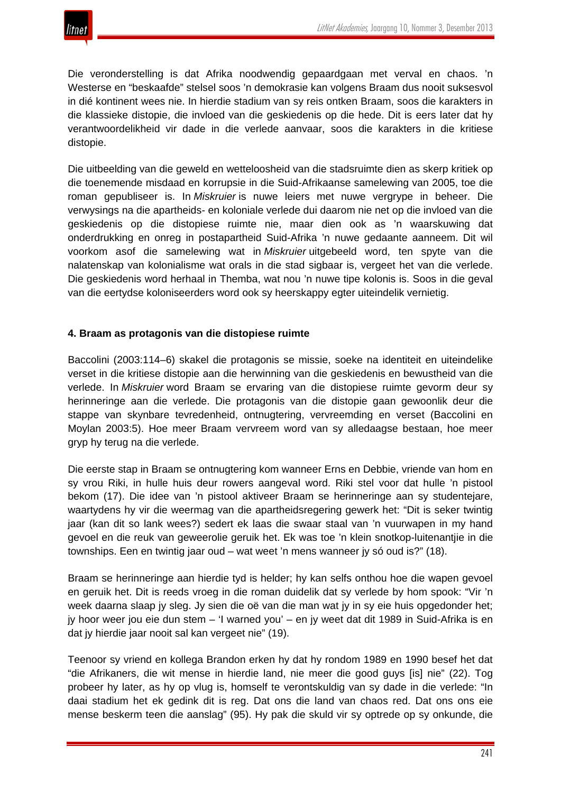Die veronderstelling is dat Afrika noodwendig gepaardgaan met verval en chaos. 'n Westerse en "beskaafde" stelsel soos 'n demokrasie kan volgens Braam dus nooit suksesvol in dié kontinent wees nie. In hierdie stadium van sy reis ontken Braam, soos die karakters in die klassieke distopie, die invloed van die geskiedenis op die hede. Dit is eers later dat hy verantwoordelikheid vir dade in die verlede aanvaar, soos die karakters in die kritiese distopie.

Die uitbeelding van die geweld en wetteloosheid van die stadsruimte dien as skerp kritiek op die toenemende misdaad en korrupsie in die Suid-Afrikaanse samelewing van 2005, toe die roman gepubliseer is. In *Miskruier* is nuwe leiers met nuwe vergrype in beheer. Die verwysings na die apartheids- en koloniale verlede dui daarom nie net op die invloed van die geskiedenis op die distopiese ruimte nie, maar dien ook as 'n waarskuwing dat onderdrukking en onreg in postapartheid Suid-Afrika 'n nuwe gedaante aanneem. Dit wil voorkom asof die samelewing wat in *Miskruier* uitgebeeld word, ten spyte van die nalatenskap van kolonialisme wat orals in die stad sigbaar is, vergeet het van die verlede. Die geskiedenis word herhaal in Themba, wat nou 'n nuwe tipe kolonis is. Soos in die geval van die eertydse koloniseerders word ook sy heerskappy egter uiteindelik vernietig.

#### **4. Braam as protagonis van die distopiese ruimte**

Baccolini (2003:114–6) skakel die protagonis se missie, soeke na identiteit en uiteindelike verset in die kritiese distopie aan die herwinning van die geskiedenis en bewustheid van die verlede. In *Miskruier* word Braam se ervaring van die distopiese ruimte gevorm deur sy herinneringe aan die verlede. Die protagonis van die distopie gaan gewoonlik deur die stappe van skynbare tevredenheid, ontnugtering, vervreemding en verset (Baccolini en Moylan 2003:5). Hoe meer Braam vervreem word van sy alledaagse bestaan, hoe meer gryp hy terug na die verlede.

Die eerste stap in Braam se ontnugtering kom wanneer Erns en Debbie, vriende van hom en sy vrou Riki, in hulle huis deur rowers aangeval word. Riki stel voor dat hulle 'n pistool bekom (17). Die idee van 'n pistool aktiveer Braam se herinneringe aan sy studentejare, waartydens hy vir die weermag van die apartheidsregering gewerk het: "Dit is seker twintig jaar (kan dit so lank wees?) sedert ek laas die swaar staal van 'n vuurwapen in my hand gevoel en die reuk van geweerolie geruik het. Ek was toe 'n klein snotkop-luitenantjie in die townships. Een en twintig jaar oud – wat weet 'n mens wanneer jy só oud is?" (18).

Braam se herinneringe aan hierdie tyd is helder; hy kan selfs onthou hoe die wapen gevoel en geruik het. Dit is reeds vroeg in die roman duidelik dat sy verlede by hom spook: "Vir 'n week daarna slaap jy sleg. Jy sien die oë van die man wat jy in sy eie huis opgedonder het; jy hoor weer jou eie dun stem – 'I warned you' – en jy weet dat dit 1989 in Suid-Afrika is en dat jy hierdie jaar nooit sal kan vergeet nie" (19).

Teenoor sy vriend en kollega Brandon erken hy dat hy rondom 1989 en 1990 besef het dat "die Afrikaners, die wit mense in hierdie land, nie meer die good guys [is] nie" (22). Tog probeer hy later, as hy op vlug is, homself te verontskuldig van sy dade in die verlede: "In daai stadium het ek gedink dit is reg. Dat ons die land van chaos red. Dat ons ons eie mense beskerm teen die aanslag" (95). Hy pak die skuld vir sy optrede op sy onkunde, die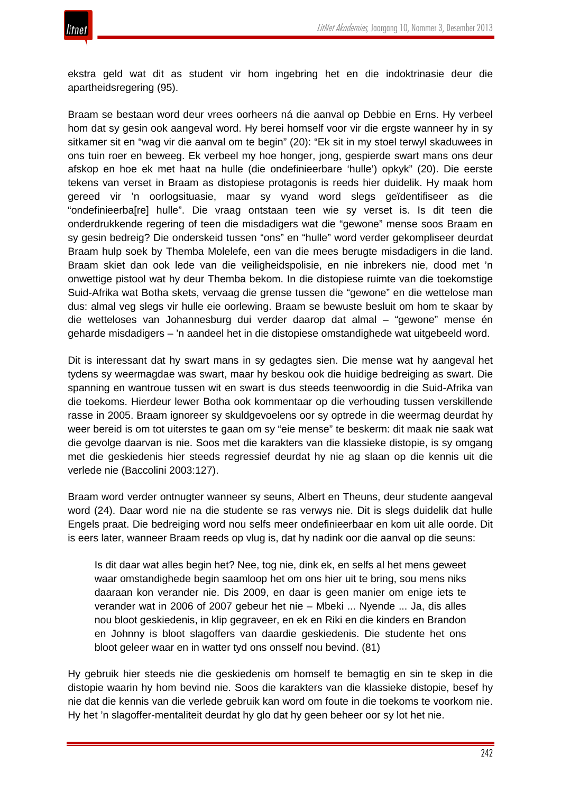

ekstra geld wat dit as student vir hom ingebring het en die indoktrinasie deur die apartheidsregering (95).

Braam se bestaan word deur vrees oorheers ná die aanval op Debbie en Erns. Hy verbeel hom dat sy gesin ook aangeval word. Hy berei homself voor vir die ergste wanneer hy in sy sitkamer sit en "wag vir die aanval om te begin" (20): "Ek sit in my stoel terwyl skaduwees in ons tuin roer en beweeg. Ek verbeel my hoe honger, jong, gespierde swart mans ons deur afskop en hoe ek met haat na hulle (die ondefinieerbare 'hulle') opkyk" (20). Die eerste tekens van verset in Braam as distopiese protagonis is reeds hier duidelik. Hy maak hom gereed vir 'n oorlogsituasie, maar sy vyand word slegs geïdentifiseer as die "ondefinieerba[re] hulle". Die vraag ontstaan teen wie sy verset is. Is dit teen die onderdrukkende regering of teen die misdadigers wat die "gewone" mense soos Braam en sy gesin bedreig? Die onderskeid tussen "ons" en "hulle" word verder gekompliseer deurdat Braam hulp soek by Themba Molelefe, een van die mees berugte misdadigers in die land. Braam skiet dan ook lede van die veiligheidspolisie, en nie inbrekers nie, dood met 'n onwettige pistool wat hy deur Themba bekom. In die distopiese ruimte van die toekomstige Suid-Afrika wat Botha skets, vervaag die grense tussen die "gewone" en die wettelose man dus: almal veg slegs vir hulle eie oorlewing. Braam se bewuste besluit om hom te skaar by die wetteloses van Johannesburg dui verder daarop dat almal – "gewone" mense én geharde misdadigers – 'n aandeel het in die distopiese omstandighede wat uitgebeeld word.

Dit is interessant dat hy swart mans in sy gedagtes sien. Die mense wat hy aangeval het tydens sy weermagdae was swart, maar hy beskou ook die huidige bedreiging as swart. Die spanning en wantroue tussen wit en swart is dus steeds teenwoordig in die Suid-Afrika van die toekoms. Hierdeur lewer Botha ook kommentaar op die verhouding tussen verskillende rasse in 2005. Braam ignoreer sy skuldgevoelens oor sy optrede in die weermag deurdat hy weer bereid is om tot uiterstes te gaan om sy "eie mense" te beskerm: dit maak nie saak wat die gevolge daarvan is nie. Soos met die karakters van die klassieke distopie, is sy omgang met die geskiedenis hier steeds regressief deurdat hy nie ag slaan op die kennis uit die verlede nie (Baccolini 2003:127).

Braam word verder ontnugter wanneer sy seuns, Albert en Theuns, deur studente aangeval word (24). Daar word nie na die studente se ras verwys nie. Dit is slegs duidelik dat hulle Engels praat. Die bedreiging word nou selfs meer ondefinieerbaar en kom uit alle oorde. Dit is eers later, wanneer Braam reeds op vlug is, dat hy nadink oor die aanval op die seuns:

Is dit daar wat alles begin het? Nee, tog nie, dink ek, en selfs al het mens geweet waar omstandighede begin saamloop het om ons hier uit te bring, sou mens niks daaraan kon verander nie. Dis 2009, en daar is geen manier om enige iets te verander wat in 2006 of 2007 gebeur het nie – Mbeki ... Nyende ... Ja, dis alles nou bloot geskiedenis, in klip gegraveer, en ek en Riki en die kinders en Brandon en Johnny is bloot slagoffers van daardie geskiedenis. Die studente het ons bloot geleer waar en in watter tyd ons onsself nou bevind. (81)

Hy gebruik hier steeds nie die geskiedenis om homself te bemagtig en sin te skep in die distopie waarin hy hom bevind nie. Soos die karakters van die klassieke distopie, besef hy nie dat die kennis van die verlede gebruik kan word om foute in die toekoms te voorkom nie. Hy het 'n slagoffer-mentaliteit deurdat hy glo dat hy geen beheer oor sy lot het nie.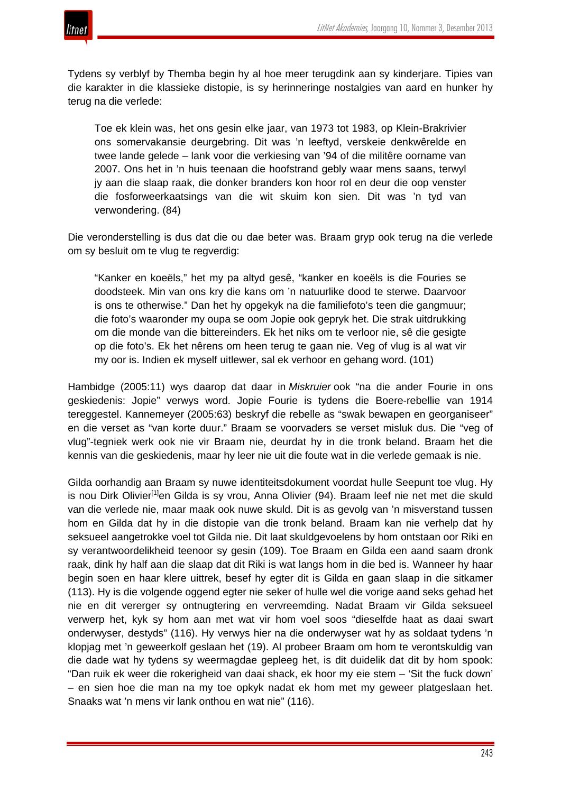



Tydens sy verblyf by Themba begin hy al hoe meer terugdink aan sy kinderjare. Tipies van die karakter in die klassieke distopie, is sy herinneringe nostalgies van aard en hunker hy terug na die verlede:

Toe ek klein was, het ons gesin elke jaar, van 1973 tot 1983, op Klein-Brakrivier ons somervakansie deurgebring. Dit was 'n leeftyd, verskeie denkwêrelde en twee lande gelede – lank voor die verkiesing van '94 of die militêre oorname van 2007. Ons het in 'n huis teenaan die hoofstrand gebly waar mens saans, terwyl jy aan die slaap raak, die donker branders kon hoor rol en deur die oop venster die fosforweerkaatsings van die wit skuim kon sien. Dit was 'n tyd van verwondering. (84)

Die veronderstelling is dus dat die ou dae beter was. Braam gryp ook terug na die verlede om sy besluit om te vlug te regverdig:

"Kanker en koeëls," het my pa altyd gesê, "kanker en koeëls is die Fouries se doodsteek. Min van ons kry die kans om 'n natuurlike dood te sterwe. Daarvoor is ons te otherwise." Dan het hy opgekyk na die familiefoto's teen die gangmuur; die foto's waaronder my oupa se oom Jopie ook gepryk het. Die strak uitdrukking om die monde van die bittereinders. Ek het niks om te verloor nie, sê die gesigte op die foto's. Ek het nêrens om heen terug te gaan nie. Veg of vlug is al wat vir my oor is. Indien ek myself uitlewer, sal ek verhoor en gehang word. (101)

Hambidge (2005:11) wys daarop dat daar in *Miskruier* ook "na die ander Fourie in ons geskiedenis: Jopie" verwys word. Jopie Fourie is tydens die Boere-rebellie van 1914 tereggestel. Kannemeyer (2005:63) beskryf die rebelle as "swak bewapen en georganiseer" en die verset as "van korte duur." Braam se voorvaders se verset misluk dus. Die "veg of vlug"-tegniek werk ook nie vir Braam nie, deurdat hy in die tronk beland. Braam het die kennis van die geskiedenis, maar hy leer nie uit die foute wat in die verlede gemaak is nie.

Gilda oorhandig aan Braam sy nuwe identiteitsdokument voordat hulle Seepunt toe vlug. Hy is nou Dirk Olivier<sup>[1]</sup>en Gilda is sy vrou, Anna Olivier (94). Braam leef nie net met die skuld van die verlede nie, maar maak ook nuwe skuld. Dit is as gevolg van 'n misverstand tussen hom en Gilda dat hy in die distopie van die tronk beland. Braam kan nie verhelp dat hy seksueel aangetrokke voel tot Gilda nie. Dit laat skuldgevoelens by hom ontstaan oor Riki en sy verantwoordelikheid teenoor sy gesin (109). Toe Braam en Gilda een aand saam dronk raak, dink hy half aan die slaap dat dit Riki is wat langs hom in die bed is. Wanneer hy haar begin soen en haar klere uittrek, besef hy egter dit is Gilda en gaan slaap in die sitkamer (113). Hy is die volgende oggend egter nie seker of hulle wel die vorige aand seks gehad het nie en dit vererger sy ontnugtering en vervreemding. Nadat Braam vir Gilda seksueel verwerp het, kyk sy hom aan met wat vir hom voel soos "dieselfde haat as daai swart onderwyser, destyds" (116). Hy verwys hier na die onderwyser wat hy as soldaat tydens 'n klopjag met 'n geweerkolf geslaan het (19). Al probeer Braam om hom te verontskuldig van die dade wat hy tydens sy weermagdae gepleeg het, is dit duidelik dat dit by hom spook: "Dan ruik ek weer die rokerigheid van daai shack, ek hoor my eie stem – 'Sit the fuck down' – en sien hoe die man na my toe opkyk nadat ek hom met my geweer platgeslaan het. Snaaks wat 'n mens vir lank onthou en wat nie" (116).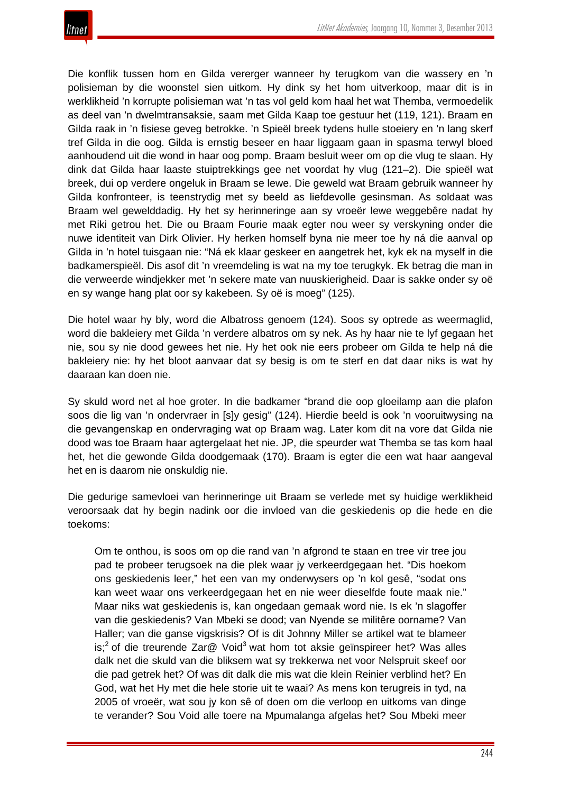

Die konflik tussen hom en Gilda vererger wanneer hy terugkom van die wassery en 'n polisieman by die woonstel sien uitkom. Hy dink sy het hom uitverkoop, maar dit is in werklikheid 'n korrupte polisieman wat 'n tas vol geld kom haal het wat Themba, vermoedelik as deel van 'n dwelmtransaksie, saam met Gilda Kaap toe gestuur het (119, 121). Braam en Gilda raak in 'n fisiese geveg betrokke. 'n Spieël breek tydens hulle stoeiery en 'n lang skerf tref Gilda in die oog. Gilda is ernstig beseer en haar liggaam gaan in spasma terwyl bloed aanhoudend uit die wond in haar oog pomp. Braam besluit weer om op die vlug te slaan. Hy dink dat Gilda haar laaste stuiptrekkings gee net voordat hy vlug (121–2). Die spieël wat breek, dui op verdere ongeluk in Braam se lewe. Die geweld wat Braam gebruik wanneer hy Gilda konfronteer, is teenstrydig met sy beeld as liefdevolle gesinsman. As soldaat was Braam wel gewelddadig. Hy het sy herinneringe aan sy vroeër lewe weggebêre nadat hy met Riki getrou het. Die ou Braam Fourie maak egter nou weer sy verskyning onder die nuwe identiteit van Dirk Olivier. Hy herken homself byna nie meer toe hy ná die aanval op Gilda in 'n hotel tuisgaan nie: "Ná ek klaar geskeer en aangetrek het, kyk ek na myself in die badkamerspieël. Dis asof dit 'n vreemdeling is wat na my toe terugkyk. Ek betrag die man in die verweerde windjekker met 'n sekere mate van nuuskierigheid. Daar is sakke onder sy oë en sy wange hang plat oor sy kakebeen. Sy oë is moeg" (125).

Die hotel waar hy bly, word die Albatross genoem (124). Soos sy optrede as weermaglid, word die bakleiery met Gilda 'n verdere albatros om sy nek. As hy haar nie te lyf gegaan het nie, sou sy nie dood gewees het nie. Hy het ook nie eers probeer om Gilda te help ná die bakleiery nie: hy het bloot aanvaar dat sy besig is om te sterf en dat daar niks is wat hy daaraan kan doen nie.

Sy skuld word net al hoe groter. In die badkamer "brand die oop gloeilamp aan die plafon soos die lig van 'n ondervraer in [s]y gesig" (124). Hierdie beeld is ook 'n vooruitwysing na die gevangenskap en ondervraging wat op Braam wag. Later kom dit na vore dat Gilda nie dood was toe Braam haar agtergelaat het nie. JP, die speurder wat Themba se tas kom haal het, het die gewonde Gilda doodgemaak (170). Braam is egter die een wat haar aangeval het en is daarom nie onskuldig nie.

Die gedurige samevloei van herinneringe uit Braam se verlede met sy huidige werklikheid veroorsaak dat hy begin nadink oor die invloed van die geskiedenis op die hede en die toekoms:

Om te onthou, is soos om op die rand van 'n afgrond te staan en tree vir tree jou pad te probeer terugsoek na die plek waar jy verkeerdgegaan het. "Dis hoekom ons geskiedenis leer," het een van my onderwysers op 'n kol gesê, "sodat ons kan weet waar ons verkeerdgegaan het en nie weer dieselfde foute maak nie." Maar niks wat geskiedenis is, kan ongedaan gemaak word nie. Is ek 'n slagoffer van die geskiedenis? Van Mbeki se dood; van Nyende se militêre oorname? Van Haller; van die ganse vigskrisis? Of is dit Johnny Miller se artikel wat te blameer is;<sup>2</sup> of die treurende Zar $@$  Void<sup>3</sup> wat hom tot aksie geïnspireer het? Was alles dalk net die skuld van die bliksem wat sy trekkerwa net voor Nelspruit skeef oor die pad getrek het? Of was dit dalk die mis wat die klein Reinier verblind het? En God, wat het Hy met die hele storie uit te waai? As mens kon terugreis in tyd, na 2005 of vroeër, wat sou jy kon sê of doen om die verloop en uitkoms van dinge te verander? Sou Void alle toere na Mpumalanga afgelas het? Sou Mbeki meer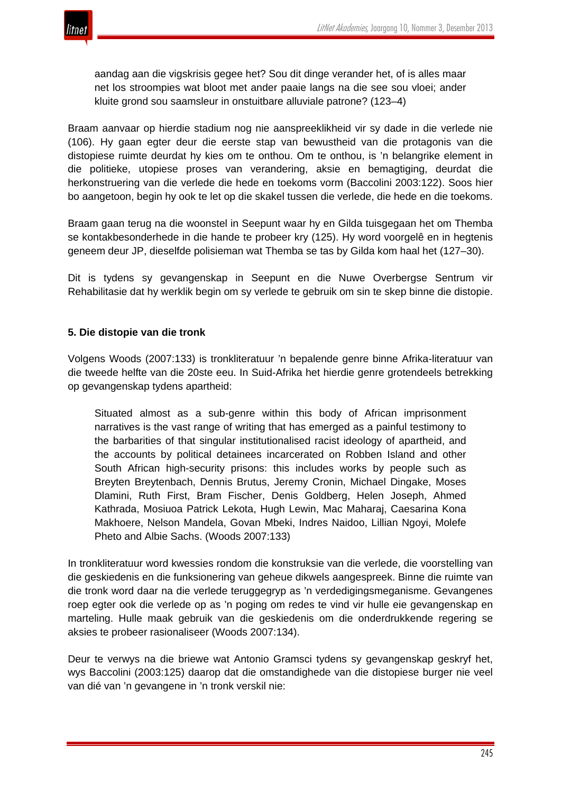

aandag aan die vigskrisis gegee het? Sou dit dinge verander het, of is alles maar net los stroompies wat bloot met ander paaie langs na die see sou vloei; ander kluite grond sou saamsleur in onstuitbare alluviale patrone? (123–4)

Braam aanvaar op hierdie stadium nog nie aanspreeklikheid vir sy dade in die verlede nie (106). Hy gaan egter deur die eerste stap van bewustheid van die protagonis van die distopiese ruimte deurdat hy kies om te onthou. Om te onthou, is 'n belangrike element in die politieke, utopiese proses van verandering, aksie en bemagtiging, deurdat die herkonstruering van die verlede die hede en toekoms vorm (Baccolini 2003:122). Soos hier bo aangetoon, begin hy ook te let op die skakel tussen die verlede, die hede en die toekoms.

Braam gaan terug na die woonstel in Seepunt waar hy en Gilda tuisgegaan het om Themba se kontakbesonderhede in die hande te probeer kry (125). Hy word voorgelê en in hegtenis geneem deur JP, dieselfde polisieman wat Themba se tas by Gilda kom haal het (127–30).

Dit is tydens sy gevangenskap in Seepunt en die Nuwe Overbergse Sentrum vir Rehabilitasie dat hy werklik begin om sy verlede te gebruik om sin te skep binne die distopie.

## **5. Die distopie van die tronk**

Volgens Woods (2007:133) is tronkliteratuur 'n bepalende genre binne Afrika-literatuur van die tweede helfte van die 20ste eeu. In Suid-Afrika het hierdie genre grotendeels betrekking op gevangenskap tydens apartheid:

Situated almost as a sub-genre within this body of African imprisonment narratives is the vast range of writing that has emerged as a painful testimony to the barbarities of that singular institutionalised racist ideology of apartheid, and the accounts by political detainees incarcerated on Robben Island and other South African high-security prisons: this includes works by people such as Breyten Breytenbach, Dennis Brutus, Jeremy Cronin, Michael Dingake, Moses Dlamini, Ruth First, Bram Fischer, Denis Goldberg, Helen Joseph, Ahmed Kathrada, Mosiuoa Patrick Lekota, Hugh Lewin, Mac Maharaj, Caesarina Kona Makhoere, Nelson Mandela, Govan Mbeki, Indres Naidoo, Lillian Ngoyi, Molefe Pheto and Albie Sachs. (Woods 2007:133)

In tronkliteratuur word kwessies rondom die konstruksie van die verlede, die voorstelling van die geskiedenis en die funksionering van geheue dikwels aangespreek. Binne die ruimte van die tronk word daar na die verlede teruggegryp as 'n verdedigingsmeganisme. Gevangenes roep egter ook die verlede op as 'n poging om redes te vind vir hulle eie gevangenskap en marteling. Hulle maak gebruik van die geskiedenis om die onderdrukkende regering se aksies te probeer rasionaliseer (Woods 2007:134).

Deur te verwys na die briewe wat Antonio Gramsci tydens sy gevangenskap geskryf het, wys Baccolini (2003:125) daarop dat die omstandighede van die distopiese burger nie veel van dié van 'n gevangene in 'n tronk verskil nie: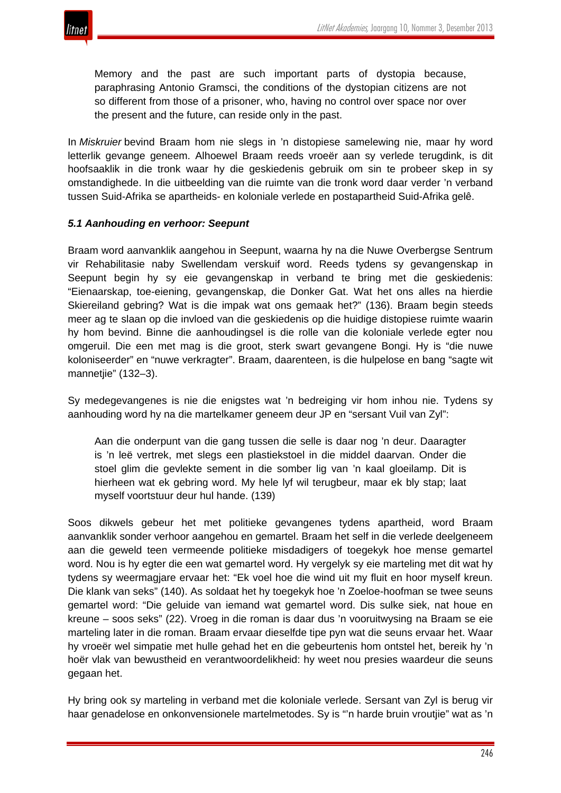

Memory and the past are such important parts of dystopia because, paraphrasing Antonio Gramsci, the conditions of the dystopian citizens are not so different from those of a prisoner, who, having no control over space nor over the present and the future, can reside only in the past.

In *Miskruier* bevind Braam hom nie slegs in 'n distopiese samelewing nie, maar hy word letterlik gevange geneem. Alhoewel Braam reeds vroeër aan sy verlede terugdink, is dit hoofsaaklik in die tronk waar hy die geskiedenis gebruik om sin te probeer skep in sy omstandighede. In die uitbeelding van die ruimte van die tronk word daar verder 'n verband tussen Suid-Afrika se apartheids- en koloniale verlede en postapartheid Suid-Afrika gelê.

#### *5.1 Aanhouding en verhoor: Seepunt*

Braam word aanvanklik aangehou in Seepunt, waarna hy na die Nuwe Overbergse Sentrum vir Rehabilitasie naby Swellendam verskuif word. Reeds tydens sy gevangenskap in Seepunt begin hy sy eie gevangenskap in verband te bring met die geskiedenis: "Eienaarskap, toe-eiening, gevangenskap, die Donker Gat. Wat het ons alles na hierdie Skiereiland gebring? Wat is die impak wat ons gemaak het?" (136). Braam begin steeds meer ag te slaan op die invloed van die geskiedenis op die huidige distopiese ruimte waarin hy hom bevind. Binne die aanhoudingsel is die rolle van die koloniale verlede egter nou omgeruil. Die een met mag is die groot, sterk swart gevangene Bongi. Hy is "die nuwe koloniseerder" en "nuwe verkragter". Braam, daarenteen, is die hulpelose en bang "sagte wit mannetjie" (132–3).

Sy medegevangenes is nie die enigstes wat 'n bedreiging vir hom inhou nie. Tydens sy aanhouding word hy na die martelkamer geneem deur JP en "sersant Vuil van Zyl":

Aan die onderpunt van die gang tussen die selle is daar nog 'n deur. Daaragter is 'n leë vertrek, met slegs een plastiekstoel in die middel daarvan. Onder die stoel glim die gevlekte sement in die somber lig van 'n kaal gloeilamp. Dit is hierheen wat ek gebring word. My hele lyf wil terugbeur, maar ek bly stap; laat myself voortstuur deur hul hande. (139)

Soos dikwels gebeur het met politieke gevangenes tydens apartheid, word Braam aanvanklik sonder verhoor aangehou en gemartel. Braam het self in die verlede deelgeneem aan die geweld teen vermeende politieke misdadigers of toegekyk hoe mense gemartel word. Nou is hy egter die een wat gemartel word. Hy vergelyk sy eie marteling met dit wat hy tydens sy weermagjare ervaar het: "Ek voel hoe die wind uit my fluit en hoor myself kreun. Die klank van seks" (140). As soldaat het hy toegekyk hoe 'n Zoeloe-hoofman se twee seuns gemartel word: "Die geluide van iemand wat gemartel word. Dis sulke siek, nat houe en kreune – soos seks" (22). Vroeg in die roman is daar dus 'n vooruitwysing na Braam se eie marteling later in die roman. Braam ervaar dieselfde tipe pyn wat die seuns ervaar het. Waar hy vroeër wel simpatie met hulle gehad het en die gebeurtenis hom ontstel het, bereik hy 'n hoër vlak van bewustheid en verantwoordelikheid: hy weet nou presies waardeur die seuns gegaan het.

Hy bring ook sy marteling in verband met die koloniale verlede. Sersant van Zyl is berug vir haar genadelose en onkonvensionele martelmetodes. Sy is "'n harde bruin vroutjie" wat as 'n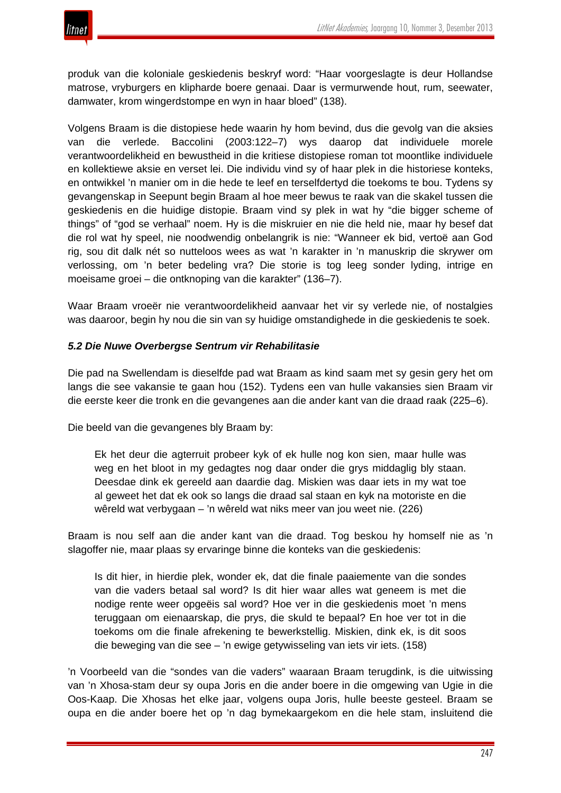produk van die koloniale geskiedenis beskryf word: "Haar voorgeslagte is deur Hollandse matrose, vryburgers en klipharde boere genaai. Daar is vermurwende hout, rum, seewater, damwater, krom wingerdstompe en wyn in haar bloed" (138).

Volgens Braam is die distopiese hede waarin hy hom bevind, dus die gevolg van die aksies van die verlede. Baccolini (2003:122–7) wys daarop dat individuele morele verantwoordelikheid en bewustheid in die kritiese distopiese roman tot moontlike individuele en kollektiewe aksie en verset lei. Die individu vind sy of haar plek in die historiese konteks, en ontwikkel 'n manier om in die hede te leef en terselfdertyd die toekoms te bou. Tydens sy gevangenskap in Seepunt begin Braam al hoe meer bewus te raak van die skakel tussen die geskiedenis en die huidige distopie. Braam vind sy plek in wat hy "die bigger scheme of things" of "god se verhaal" noem. Hy is die miskruier en nie die held nie, maar hy besef dat die rol wat hy speel, nie noodwendig onbelangrik is nie: "Wanneer ek bid, vertoë aan God rig, sou dit dalk nét so nutteloos wees as wat 'n karakter in 'n manuskrip die skrywer om verlossing, om 'n beter bedeling vra? Die storie is tog leeg sonder lyding, intrige en moeisame groei – die ontknoping van die karakter" (136–7).

Waar Braam vroeër nie verantwoordelikheid aanvaar het vir sy verlede nie, of nostalgies was daaroor, begin hy nou die sin van sy huidige omstandighede in die geskiedenis te soek.

## *5.2 Die Nuwe Overbergse Sentrum vir Rehabilitasie*

Die pad na Swellendam is dieselfde pad wat Braam as kind saam met sy gesin gery het om langs die see vakansie te gaan hou (152). Tydens een van hulle vakansies sien Braam vir die eerste keer die tronk en die gevangenes aan die ander kant van die draad raak (225–6).

Die beeld van die gevangenes bly Braam by:

Ek het deur die agterruit probeer kyk of ek hulle nog kon sien, maar hulle was weg en het bloot in my gedagtes nog daar onder die grys middaglig bly staan. Deesdae dink ek gereeld aan daardie dag. Miskien was daar iets in my wat toe al geweet het dat ek ook so langs die draad sal staan en kyk na motoriste en die wêreld wat verbygaan – 'n wêreld wat niks meer van jou weet nie. (226)

Braam is nou self aan die ander kant van die draad. Tog beskou hy homself nie as 'n slagoffer nie, maar plaas sy ervaringe binne die konteks van die geskiedenis:

Is dit hier, in hierdie plek, wonder ek, dat die finale paaiemente van die sondes van die vaders betaal sal word? Is dit hier waar alles wat geneem is met die nodige rente weer opgeëis sal word? Hoe ver in die geskiedenis moet 'n mens teruggaan om eienaarskap, die prys, die skuld te bepaal? En hoe ver tot in die toekoms om die finale afrekening te bewerkstellig. Miskien, dink ek, is dit soos die beweging van die see – 'n ewige getywisseling van iets vir iets. (158)

'n Voorbeeld van die "sondes van die vaders" waaraan Braam terugdink, is die uitwissing van 'n Xhosa-stam deur sy oupa Joris en die ander boere in die omgewing van Ugie in die Oos-Kaap. Die Xhosas het elke jaar, volgens oupa Joris, hulle beeste gesteel. Braam se oupa en die ander boere het op 'n dag bymekaargekom en die hele stam, insluitend die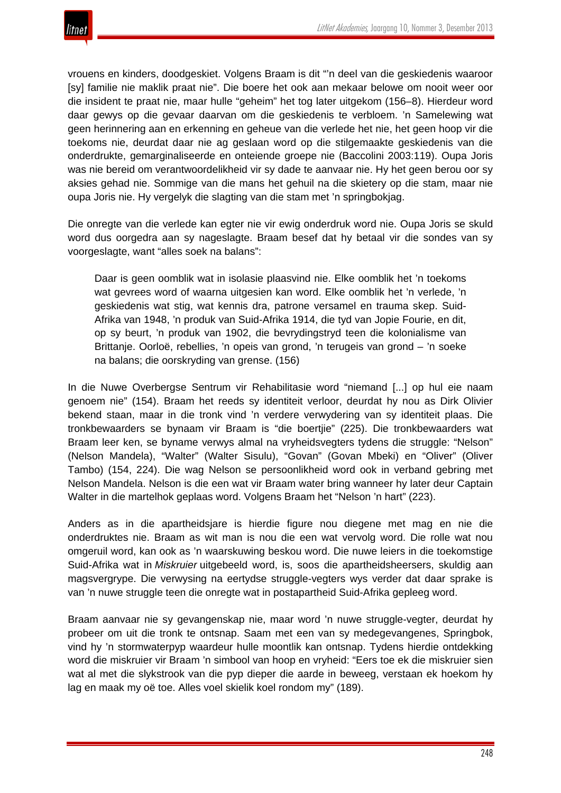

vrouens en kinders, doodgeskiet. Volgens Braam is dit "'n deel van die geskiedenis waaroor [sy] familie nie maklik praat nie". Die boere het ook aan mekaar belowe om nooit weer oor die insident te praat nie, maar hulle "geheim" het tog later uitgekom (156–8). Hierdeur word daar gewys op die gevaar daarvan om die geskiedenis te verbloem. 'n Samelewing wat geen herinnering aan en erkenning en geheue van die verlede het nie, het geen hoop vir die toekoms nie, deurdat daar nie ag geslaan word op die stilgemaakte geskiedenis van die onderdrukte, gemarginaliseerde en onteiende groepe nie (Baccolini 2003:119). Oupa Joris was nie bereid om verantwoordelikheid vir sy dade te aanvaar nie. Hy het geen berou oor sy aksies gehad nie. Sommige van die mans het gehuil na die skietery op die stam, maar nie oupa Joris nie. Hy vergelyk die slagting van die stam met 'n springbokjag.

Die onregte van die verlede kan egter nie vir ewig onderdruk word nie. Oupa Joris se skuld word dus oorgedra aan sy nageslagte. Braam besef dat hy betaal vir die sondes van sy voorgeslagte, want "alles soek na balans":

Daar is geen oomblik wat in isolasie plaasvind nie. Elke oomblik het 'n toekoms wat gevrees word of waarna uitgesien kan word. Elke oomblik het 'n verlede, 'n geskiedenis wat stig, wat kennis dra, patrone versamel en trauma skep. Suid-Afrika van 1948, 'n produk van Suid-Afrika 1914, die tyd van Jopie Fourie, en dit, op sy beurt, 'n produk van 1902, die bevrydingstryd teen die kolonialisme van Brittanje. Oorloë, rebellies, 'n opeis van grond, 'n terugeis van grond – 'n soeke na balans; die oorskryding van grense. (156)

In die Nuwe Overbergse Sentrum vir Rehabilitasie word "niemand [...] op hul eie naam genoem nie" (154). Braam het reeds sy identiteit verloor, deurdat hy nou as Dirk Olivier bekend staan, maar in die tronk vind 'n verdere verwydering van sy identiteit plaas. Die tronkbewaarders se bynaam vir Braam is "die boertjie" (225). Die tronkbewaarders wat Braam leer ken, se byname verwys almal na vryheidsvegters tydens die struggle: "Nelson" (Nelson Mandela), "Walter" (Walter Sisulu), "Govan" (Govan Mbeki) en "Oliver" (Oliver Tambo) (154, 224). Die wag Nelson se persoonlikheid word ook in verband gebring met Nelson Mandela. Nelson is die een wat vir Braam water bring wanneer hy later deur Captain Walter in die martelhok geplaas word. Volgens Braam het "Nelson 'n hart" (223).

Anders as in die apartheidsjare is hierdie figure nou diegene met mag en nie die onderdruktes nie. Braam as wit man is nou die een wat vervolg word. Die rolle wat nou omgeruil word, kan ook as 'n waarskuwing beskou word. Die nuwe leiers in die toekomstige Suid-Afrika wat in *Miskruier* uitgebeeld word, is, soos die apartheidsheersers, skuldig aan magsvergrype. Die verwysing na eertydse struggle-vegters wys verder dat daar sprake is van 'n nuwe struggle teen die onregte wat in postapartheid Suid-Afrika gepleeg word.

Braam aanvaar nie sy gevangenskap nie, maar word 'n nuwe struggle-vegter, deurdat hy probeer om uit die tronk te ontsnap. Saam met een van sy medegevangenes, Springbok, vind hy 'n stormwaterpyp waardeur hulle moontlik kan ontsnap. Tydens hierdie ontdekking word die miskruier vir Braam 'n simbool van hoop en vryheid: "Eers toe ek die miskruier sien wat al met die slykstrook van die pyp dieper die aarde in beweeg, verstaan ek hoekom hy lag en maak my oë toe. Alles voel skielik koel rondom my" (189).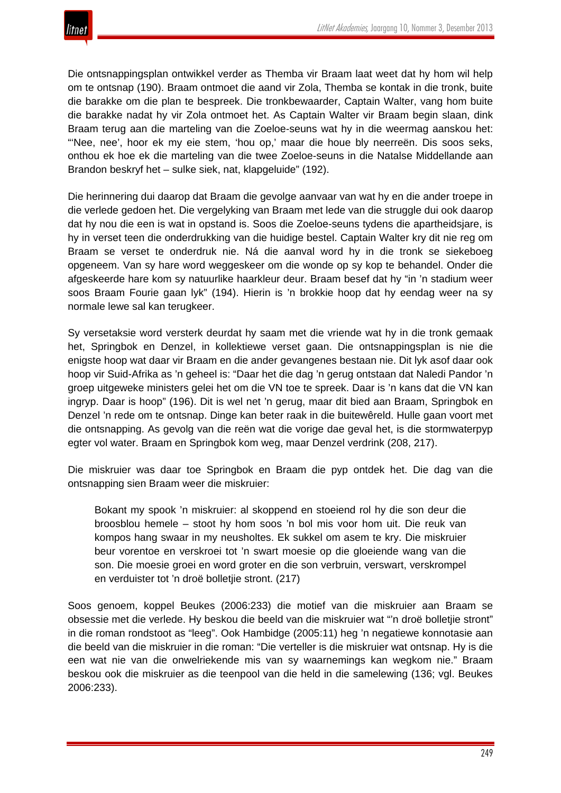

Die ontsnappingsplan ontwikkel verder as Themba vir Braam laat weet dat hy hom wil help om te ontsnap (190). Braam ontmoet die aand vir Zola, Themba se kontak in die tronk, buite die barakke om die plan te bespreek. Die tronkbewaarder, Captain Walter, vang hom buite die barakke nadat hy vir Zola ontmoet het. As Captain Walter vir Braam begin slaan, dink Braam terug aan die marteling van die Zoeloe-seuns wat hy in die weermag aanskou het: "'Nee, nee', hoor ek my eie stem, 'hou op,' maar die houe bly neerreën. Dis soos seks, onthou ek hoe ek die marteling van die twee Zoeloe-seuns in die Natalse Middellande aan Brandon beskryf het – sulke siek, nat, klapgeluide" (192).

Die herinnering dui daarop dat Braam die gevolge aanvaar van wat hy en die ander troepe in die verlede gedoen het. Die vergelyking van Braam met lede van die struggle dui ook daarop dat hy nou die een is wat in opstand is. Soos die Zoeloe-seuns tydens die apartheidsjare, is hy in verset teen die onderdrukking van die huidige bestel. Captain Walter kry dit nie reg om Braam se verset te onderdruk nie. Ná die aanval word hy in die tronk se siekeboeg opgeneem. Van sy hare word weggeskeer om die wonde op sy kop te behandel. Onder die afgeskeerde hare kom sy natuurlike haarkleur deur. Braam besef dat hy "in 'n stadium weer soos Braam Fourie gaan lyk" (194). Hierin is 'n brokkie hoop dat hy eendag weer na sy normale lewe sal kan terugkeer.

Sy versetaksie word versterk deurdat hy saam met die vriende wat hy in die tronk gemaak het, Springbok en Denzel, in kollektiewe verset gaan. Die ontsnappingsplan is nie die enigste hoop wat daar vir Braam en die ander gevangenes bestaan nie. Dit lyk asof daar ook hoop vir Suid-Afrika as 'n geheel is: "Daar het die dag 'n gerug ontstaan dat Naledi Pandor 'n groep uitgeweke ministers gelei het om die VN toe te spreek. Daar is 'n kans dat die VN kan ingryp. Daar is hoop" (196). Dit is wel net 'n gerug, maar dit bied aan Braam, Springbok en Denzel 'n rede om te ontsnap. Dinge kan beter raak in die buitewêreld. Hulle gaan voort met die ontsnapping. As gevolg van die reën wat die vorige dae geval het, is die stormwaterpyp egter vol water. Braam en Springbok kom weg, maar Denzel verdrink (208, 217).

Die miskruier was daar toe Springbok en Braam die pyp ontdek het. Die dag van die ontsnapping sien Braam weer die miskruier:

Bokant my spook 'n miskruier: al skoppend en stoeiend rol hy die son deur die broosblou hemele – stoot hy hom soos 'n bol mis voor hom uit. Die reuk van kompos hang swaar in my neusholtes. Ek sukkel om asem te kry. Die miskruier beur vorentoe en verskroei tot 'n swart moesie op die gloeiende wang van die son. Die moesie groei en word groter en die son verbruin, verswart, verskrompel en verduister tot 'n droë bolletjie stront. (217)

Soos genoem, koppel Beukes (2006:233) die motief van die miskruier aan Braam se obsessie met die verlede. Hy beskou die beeld van die miskruier wat "'n droë bolletjie stront" in die roman rondstoot as "leeg". Ook Hambidge (2005:11) heg 'n negatiewe konnotasie aan die beeld van die miskruier in die roman: "Die verteller is die miskruier wat ontsnap. Hy is die een wat nie van die onwelriekende mis van sy waarnemings kan wegkom nie." Braam beskou ook die miskruier as die teenpool van die held in die samelewing (136; vgl. Beukes 2006:233).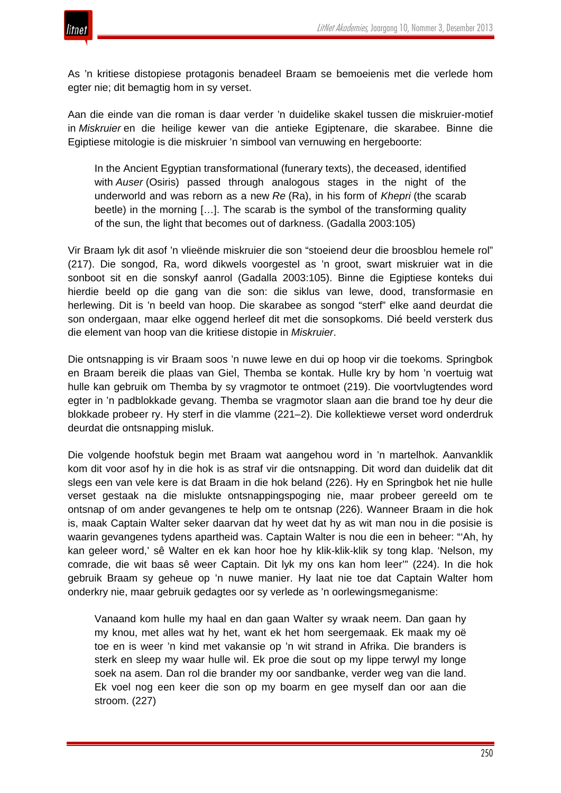

As 'n kritiese distopiese protagonis benadeel Braam se bemoeienis met die verlede hom egter nie; dit bemagtig hom in sy verset.

Aan die einde van die roman is daar verder 'n duidelike skakel tussen die miskruier-motief in *Miskruier* en die heilige kewer van die antieke Egiptenare, die skarabee. Binne die Egiptiese mitologie is die miskruier 'n simbool van vernuwing en hergeboorte:

In the Ancient Egyptian transformational (funerary texts), the deceased, identified with *Auser* (Osiris) passed through analogous stages in the night of the underworld and was reborn as a new *Re* (Ra), in his form of *Khepri* (the scarab beetle) in the morning […]. The scarab is the symbol of the transforming quality of the sun, the light that becomes out of darkness. (Gadalla 2003:105)

Vir Braam lyk dit asof 'n vlieënde miskruier die son "stoeiend deur die broosblou hemele rol" (217). Die songod, Ra, word dikwels voorgestel as 'n groot, swart miskruier wat in die sonboot sit en die sonskyf aanrol (Gadalla 2003:105). Binne die Egiptiese konteks dui hierdie beeld op die gang van die son: die siklus van lewe, dood, transformasie en herlewing. Dit is 'n beeld van hoop. Die skarabee as songod "sterf" elke aand deurdat die son ondergaan, maar elke oggend herleef dit met die sonsopkoms. Dié beeld versterk dus die element van hoop van die kritiese distopie in *Miskruier*.

Die ontsnapping is vir Braam soos 'n nuwe lewe en dui op hoop vir die toekoms. Springbok en Braam bereik die plaas van Giel, Themba se kontak. Hulle kry by hom 'n voertuig wat hulle kan gebruik om Themba by sy vragmotor te ontmoet (219). Die voortvlugtendes word egter in 'n padblokkade gevang. Themba se vragmotor slaan aan die brand toe hy deur die blokkade probeer ry. Hy sterf in die vlamme (221–2). Die kollektiewe verset word onderdruk deurdat die ontsnapping misluk.

Die volgende hoofstuk begin met Braam wat aangehou word in 'n martelhok. Aanvanklik kom dit voor asof hy in die hok is as straf vir die ontsnapping. Dit word dan duidelik dat dit slegs een van vele kere is dat Braam in die hok beland (226). Hy en Springbok het nie hulle verset gestaak na die mislukte ontsnappingspoging nie, maar probeer gereeld om te ontsnap of om ander gevangenes te help om te ontsnap (226). Wanneer Braam in die hok is, maak Captain Walter seker daarvan dat hy weet dat hy as wit man nou in die posisie is waarin gevangenes tydens apartheid was. Captain Walter is nou die een in beheer: "'Ah, hy kan geleer word,' sê Walter en ek kan hoor hoe hy klik-klik-klik sy tong klap. 'Nelson, my comrade, die wit baas sê weer Captain. Dit lyk my ons kan hom leer'" (224). In die hok gebruik Braam sy geheue op 'n nuwe manier. Hy laat nie toe dat Captain Walter hom onderkry nie, maar gebruik gedagtes oor sy verlede as 'n oorlewingsmeganisme:

Vanaand kom hulle my haal en dan gaan Walter sy wraak neem. Dan gaan hy my knou, met alles wat hy het, want ek het hom seergemaak. Ek maak my oë toe en is weer 'n kind met vakansie op 'n wit strand in Afrika. Die branders is sterk en sleep my waar hulle wil. Ek proe die sout op my lippe terwyl my longe soek na asem. Dan rol die brander my oor sandbanke, verder weg van die land. Ek voel nog een keer die son op my boarm en gee myself dan oor aan die stroom. (227)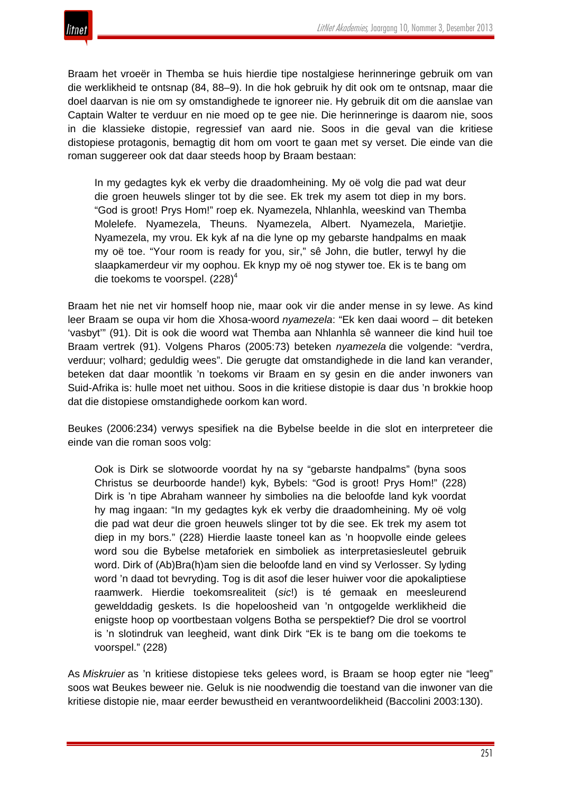

Braam het vroeër in Themba se huis hierdie tipe nostalgiese herinneringe gebruik om van die werklikheid te ontsnap (84, 88–9). In die hok gebruik hy dit ook om te ontsnap, maar die doel daarvan is nie om sy omstandighede te ignoreer nie. Hy gebruik dit om die aanslae van Captain Walter te verduur en nie moed op te gee nie. Die herinneringe is daarom nie, soos in die klassieke distopie, regressief van aard nie. Soos in die geval van die kritiese distopiese protagonis, bemagtig dit hom om voort te gaan met sy verset. Die einde van die roman suggereer ook dat daar steeds hoop by Braam bestaan:

In my gedagtes kyk ek verby die draadomheining. My oë volg die pad wat deur die groen heuwels slinger tot by die see. Ek trek my asem tot diep in my bors. "God is groot! Prys Hom!" roep ek. Nyamezela, Nhlanhla, weeskind van Themba Molelefe. Nyamezela, Theuns. Nyamezela, Albert. Nyamezela, Marietjie. Nyamezela, my vrou. Ek kyk af na die lyne op my gebarste handpalms en maak my oë toe. "Your room is ready for you, sir," sê John, die butler, terwyl hy die slaapkamerdeur vir my oophou. Ek knyp my oë nog stywer toe. Ek is te bang om die toekoms te voorspel. (228)<sup>4</sup>

Braam het nie net vir homself hoop nie, maar ook vir die ander mense in sy lewe. As kind leer Braam se oupa vir hom die Xhosa-woord *nyamezela*: "Ek ken daai woord – dit beteken 'vasbyt'" (91). Dit is ook die woord wat Themba aan Nhlanhla sê wanneer die kind huil toe Braam vertrek (91). Volgens Pharos (2005:73) beteken *nyamezela* die volgende: "verdra, verduur; volhard; geduldig wees". Die gerugte dat omstandighede in die land kan verander, beteken dat daar moontlik 'n toekoms vir Braam en sy gesin en die ander inwoners van Suid-Afrika is: hulle moet net uithou. Soos in die kritiese distopie is daar dus 'n brokkie hoop dat die distopiese omstandighede oorkom kan word.

Beukes (2006:234) verwys spesifiek na die Bybelse beelde in die slot en interpreteer die einde van die roman soos volg:

Ook is Dirk se slotwoorde voordat hy na sy "gebarste handpalms" (byna soos Christus se deurboorde hande!) kyk, Bybels: "God is groot! Prys Hom!" (228) Dirk is 'n tipe Abraham wanneer hy simbolies na die beloofde land kyk voordat hy mag ingaan: "In my gedagtes kyk ek verby die draadomheining. My oë volg die pad wat deur die groen heuwels slinger tot by die see. Ek trek my asem tot diep in my bors." (228) Hierdie laaste toneel kan as 'n hoopvolle einde gelees word sou die Bybelse metaforiek en simboliek as interpretasiesleutel gebruik word. Dirk of (Ab)Bra(h)am sien die beloofde land en vind sy Verlosser. Sy lyding word 'n daad tot bevryding. Tog is dit asof die leser huiwer voor die apokaliptiese raamwerk. Hierdie toekomsrealiteit (*sic*!) is té gemaak en meesleurend gewelddadig geskets. Is die hopeloosheid van 'n ontgogelde werklikheid die enigste hoop op voortbestaan volgens Botha se perspektief? Die drol se voortrol is 'n slotindruk van leegheid, want dink Dirk "Ek is te bang om die toekoms te voorspel." (228)

As *Miskruier* as 'n kritiese distopiese teks gelees word, is Braam se hoop egter nie "leeg" soos wat Beukes beweer nie. Geluk is nie noodwendig die toestand van die inwoner van die kritiese distopie nie, maar eerder bewustheid en verantwoordelikheid (Baccolini 2003:130).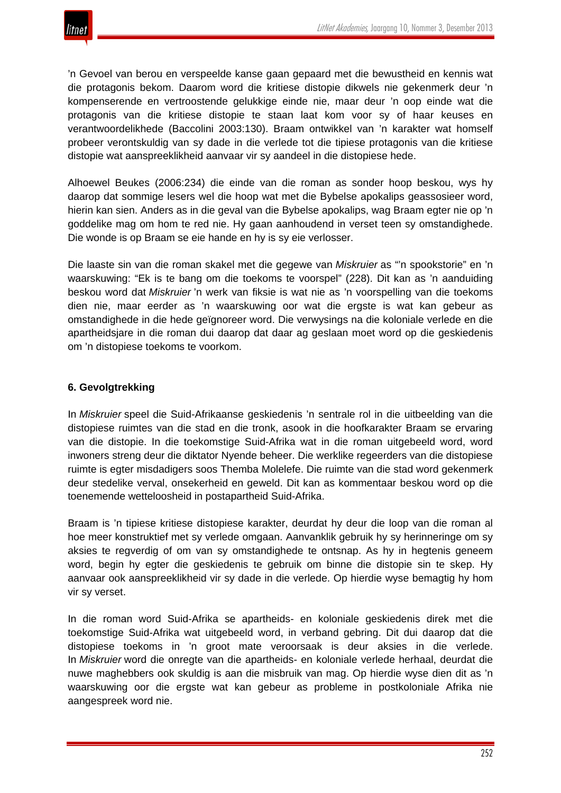'n Gevoel van berou en verspeelde kanse gaan gepaard met die bewustheid en kennis wat die protagonis bekom. Daarom word die kritiese distopie dikwels nie gekenmerk deur 'n kompenserende en vertroostende gelukkige einde nie, maar deur 'n oop einde wat die protagonis van die kritiese distopie te staan laat kom voor sy of haar keuses en verantwoordelikhede (Baccolini 2003:130). Braam ontwikkel van 'n karakter wat homself probeer verontskuldig van sy dade in die verlede tot die tipiese protagonis van die kritiese distopie wat aanspreeklikheid aanvaar vir sy aandeel in die distopiese hede.

Alhoewel Beukes (2006:234) die einde van die roman as sonder hoop beskou, wys hy daarop dat sommige lesers wel die hoop wat met die Bybelse apokalips geassosieer word, hierin kan sien. Anders as in die geval van die Bybelse apokalips, wag Braam egter nie op 'n goddelike mag om hom te red nie. Hy gaan aanhoudend in verset teen sy omstandighede. Die wonde is op Braam se eie hande en hy is sy eie verlosser.

Die laaste sin van die roman skakel met die gegewe van *Miskruier* as "'n spookstorie" en 'n waarskuwing: "Ek is te bang om die toekoms te voorspel" (228). Dit kan as 'n aanduiding beskou word dat *Miskruier* 'n werk van fiksie is wat nie as 'n voorspelling van die toekoms dien nie, maar eerder as 'n waarskuwing oor wat die ergste is wat kan gebeur as omstandighede in die hede geïgnoreer word. Die verwysings na die koloniale verlede en die apartheidsjare in die roman dui daarop dat daar ag geslaan moet word op die geskiedenis om 'n distopiese toekoms te voorkom.

# **6. Gevolgtrekking**

In *Miskruier* speel die Suid-Afrikaanse geskiedenis 'n sentrale rol in die uitbeelding van die distopiese ruimtes van die stad en die tronk, asook in die hoofkarakter Braam se ervaring van die distopie. In die toekomstige Suid-Afrika wat in die roman uitgebeeld word, word inwoners streng deur die diktator Nyende beheer. Die werklike regeerders van die distopiese ruimte is egter misdadigers soos Themba Molelefe. Die ruimte van die stad word gekenmerk deur stedelike verval, onsekerheid en geweld. Dit kan as kommentaar beskou word op die toenemende wetteloosheid in postapartheid Suid-Afrika.

Braam is 'n tipiese kritiese distopiese karakter, deurdat hy deur die loop van die roman al hoe meer konstruktief met sy verlede omgaan. Aanvanklik gebruik hy sy herinneringe om sy aksies te regverdig of om van sy omstandighede te ontsnap. As hy in hegtenis geneem word, begin hy egter die geskiedenis te gebruik om binne die distopie sin te skep. Hy aanvaar ook aanspreeklikheid vir sy dade in die verlede. Op hierdie wyse bemagtig hy hom vir sy verset.

In die roman word Suid-Afrika se apartheids- en koloniale geskiedenis direk met die toekomstige Suid-Afrika wat uitgebeeld word, in verband gebring. Dit dui daarop dat die distopiese toekoms in 'n groot mate veroorsaak is deur aksies in die verlede. In *Miskruier* word die onregte van die apartheids- en koloniale verlede herhaal, deurdat die nuwe maghebbers ook skuldig is aan die misbruik van mag. Op hierdie wyse dien dit as 'n waarskuwing oor die ergste wat kan gebeur as probleme in postkoloniale Afrika nie aangespreek word nie.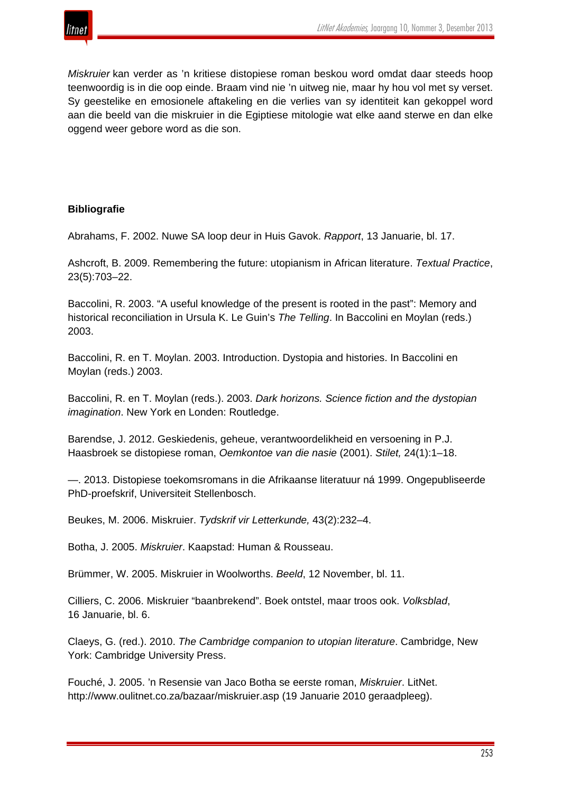

*Miskruier* kan verder as 'n kritiese distopiese roman beskou word omdat daar steeds hoop teenwoordig is in die oop einde. Braam vind nie 'n uitweg nie, maar hy hou vol met sy verset. Sy geestelike en emosionele aftakeling en die verlies van sy identiteit kan gekoppel word aan die beeld van die miskruier in die Egiptiese mitologie wat elke aand sterwe en dan elke oggend weer gebore word as die son.

## **Bibliografie**

Abrahams, F. 2002. Nuwe SA loop deur in Huis Gavok. *Rapport*, 13 Januarie, bl. 17.

Ashcroft, B. 2009. Remembering the future: utopianism in African literature. *Textual Practice*, 23(5):703–22.

Baccolini, R. 2003. "A useful knowledge of the present is rooted in the past": Memory and historical reconciliation in Ursula K. Le Guin's *The Telling*. In Baccolini en Moylan (reds.) 2003.

Baccolini, R. en T. Moylan. 2003. Introduction. Dystopia and histories. In Baccolini en Moylan (reds.) 2003.

Baccolini, R. en T. Moylan (reds.). 2003. *Dark horizons. Science fiction and the dystopian imagination*. New York en Londen: Routledge.

Barendse, J. 2012. Geskiedenis, geheue, verantwoordelikheid en versoening in P.J. Haasbroek se distopiese roman, *Oemkontoe van die nasie* (2001). *Stilet,* 24(1):1–18.

—. 2013. Distopiese toekomsromans in die Afrikaanse literatuur ná 1999. Ongepubliseerde PhD-proefskrif, Universiteit Stellenbosch.

Beukes, M. 2006. Miskruier. *Tydskrif vir Letterkunde,* 43(2):232–4.

Botha, J. 2005. *Miskruier*. Kaapstad: Human & Rousseau.

Brümmer, W. 2005. Miskruier in Woolworths. *Beeld*, 12 November, bl. 11.

Cilliers, C. 2006. Miskruier "baanbrekend". Boek ontstel, maar troos ook. *Volksblad*, 16 Januarie, bl. 6.

Claeys, G. (red.). 2010. *The Cambridge companion to utopian literature*. Cambridge, New York: Cambridge University Press.

Fouché, J. 2005. 'n Resensie van Jaco Botha se eerste roman, *Miskruier*. LitNet. http://www.oulitnet.co.za/bazaar/miskruier.asp (19 Januarie 2010 geraadpleeg).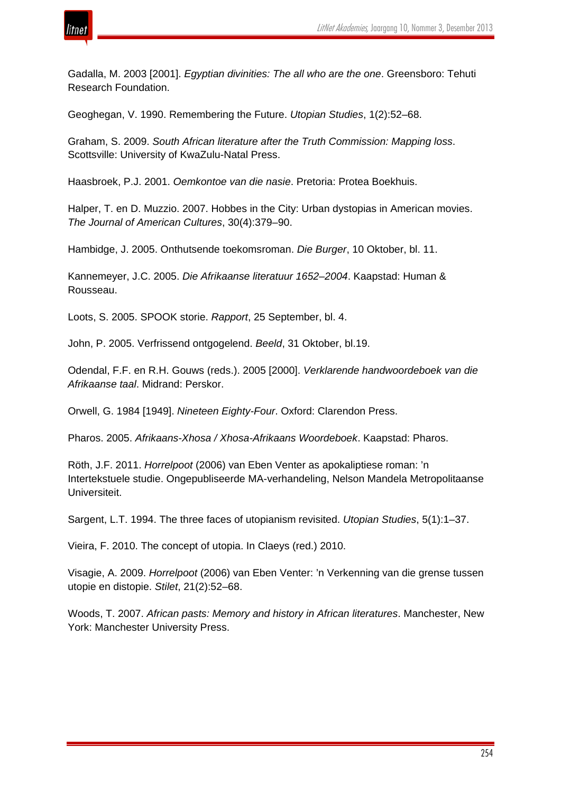

Gadalla, M. 2003 [2001]. *Egyptian divinities: The all who are the one*. Greensboro: Tehuti Research Foundation.

Geoghegan, V. 1990. Remembering the Future. *Utopian Studies*, 1(2):52–68.

Graham, S. 2009. *South African literature after the Truth Commission: Mapping loss*. Scottsville: University of KwaZulu-Natal Press.

Haasbroek, P.J. 2001. *Oemkontoe van die nasie*. Pretoria: Protea Boekhuis.

Halper, T. en D. Muzzio. 2007. Hobbes in the City: Urban dystopias in American movies. *The Journal of American Cultures*, 30(4):379–90.

Hambidge, J. 2005. Onthutsende toekomsroman. *Die Burger*, 10 Oktober, bl. 11.

Kannemeyer, J.C. 2005. *Die Afrikaanse literatuur 1652*–*2004*. Kaapstad: Human & Rousseau.

Loots, S. 2005. SPOOK storie. *Rapport*, 25 September, bl. 4.

John, P. 2005. Verfrissend ontgogelend. *Beeld*, 31 Oktober, bl.19.

Odendal, F.F. en R.H. Gouws (reds.). 2005 [2000]. *Verklarende handwoordeboek van die Afrikaanse taal*. Midrand: Perskor.

Orwell, G. 1984 [1949]. *Nineteen Eighty-Four*. Oxford: Clarendon Press.

Pharos. 2005. *Afrikaans-Xhosa / Xhosa-Afrikaans Woordeboek*. Kaapstad: Pharos.

Röth, J.F. 2011. *Horrelpoot* (2006) van Eben Venter as apokaliptiese roman: 'n Intertekstuele studie. Ongepubliseerde MA-verhandeling, Nelson Mandela Metropolitaanse Universiteit.

Sargent, L.T. 1994. The three faces of utopianism revisited. *Utopian Studies*, 5(1):1–37.

Vieira, F. 2010. The concept of utopia. In Claeys (red.) 2010.

Visagie, A. 2009. *Horrelpoot* (2006) van Eben Venter: 'n Verkenning van die grense tussen utopie en distopie. *Stilet*, 21(2):52–68.

Woods, T. 2007. *African pasts: Memory and history in African literatures*. Manchester, New York: Manchester University Press.